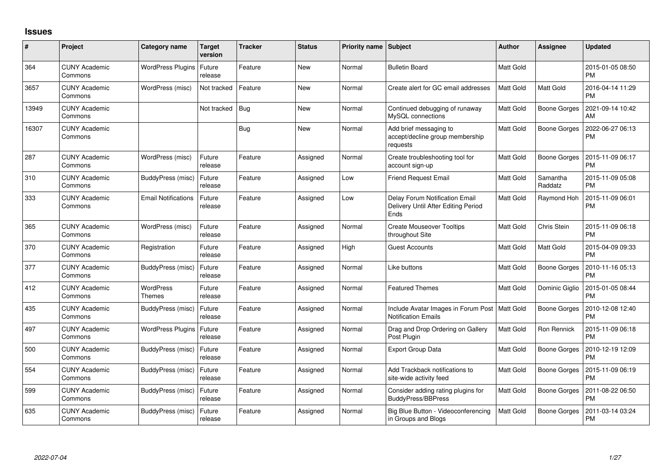## **Issues**

| #     | Project                         | Category name                     | <b>Target</b><br>version | <b>Tracker</b> | <b>Status</b> | <b>Priority name</b> | <b>Subject</b>                                                                | <b>Author</b>    | <b>Assignee</b>     | <b>Updated</b>                |
|-------|---------------------------------|-----------------------------------|--------------------------|----------------|---------------|----------------------|-------------------------------------------------------------------------------|------------------|---------------------|-------------------------------|
| 364   | <b>CUNY Academic</b><br>Commons | WordPress Plugins                 | Future<br>release        | Feature        | New           | Normal               | <b>Bulletin Board</b>                                                         | <b>Matt Gold</b> |                     | 2015-01-05 08:50<br><b>PM</b> |
| 3657  | <b>CUNY Academic</b><br>Commons | WordPress (misc)                  | Not tracked              | Feature        | New           | Normal               | Create alert for GC email addresses                                           | <b>Matt Gold</b> | Matt Gold           | 2016-04-14 11:29<br><b>PM</b> |
| 13949 | <b>CUNY Academic</b><br>Commons |                                   | Not tracked              | <b>Bug</b>     | <b>New</b>    | Normal               | Continued debugging of runaway<br>MySQL connections                           | <b>Matt Gold</b> | <b>Boone Gorges</b> | 2021-09-14 10:42<br>AM        |
| 16307 | <b>CUNY Academic</b><br>Commons |                                   |                          | Bug            | <b>New</b>    | Normal               | Add brief messaging to<br>accept/decline group membership<br>requests         | Matt Gold        | <b>Boone Gorges</b> | 2022-06-27 06:13<br><b>PM</b> |
| 287   | <b>CUNY Academic</b><br>Commons | WordPress (misc)                  | Future<br>release        | Feature        | Assigned      | Normal               | Create troubleshooting tool for<br>account sign-up                            | <b>Matt Gold</b> | <b>Boone Gorges</b> | 2015-11-09 06:17<br><b>PM</b> |
| 310   | <b>CUNY Academic</b><br>Commons | BuddyPress (misc)                 | Future<br>release        | Feature        | Assigned      | Low                  | Friend Request Email                                                          | <b>Matt Gold</b> | Samantha<br>Raddatz | 2015-11-09 05:08<br><b>PM</b> |
| 333   | <b>CUNY Academic</b><br>Commons | <b>Email Notifications</b>        | Future<br>release        | Feature        | Assigned      | Low                  | Delay Forum Notification Email<br>Delivery Until After Editing Period<br>Ends | <b>Matt Gold</b> | Raymond Hoh         | 2015-11-09 06:01<br><b>PM</b> |
| 365   | <b>CUNY Academic</b><br>Commons | WordPress (misc)                  | Future<br>release        | Feature        | Assigned      | Normal               | <b>Create Mouseover Tooltips</b><br>throughout Site                           | Matt Gold        | Chris Stein         | 2015-11-09 06:18<br><b>PM</b> |
| 370   | <b>CUNY Academic</b><br>Commons | Registration                      | Future<br>release        | Feature        | Assigned      | High                 | <b>Guest Accounts</b>                                                         | <b>Matt Gold</b> | Matt Gold           | 2015-04-09 09:33<br><b>PM</b> |
| 377   | <b>CUNY Academic</b><br>Commons | BuddyPress (misc)                 | Future<br>release        | Feature        | Assigned      | Normal               | Like buttons                                                                  | <b>Matt Gold</b> | <b>Boone Gorges</b> | 2010-11-16 05:13<br><b>PM</b> |
| 412   | <b>CUNY Academic</b><br>Commons | <b>WordPress</b><br><b>Themes</b> | Future<br>release        | Feature        | Assigned      | Normal               | <b>Featured Themes</b>                                                        | <b>Matt Gold</b> | Dominic Giglio      | 2015-01-05 08:44<br><b>PM</b> |
| 435   | <b>CUNY Academic</b><br>Commons | BuddyPress (misc)                 | Future<br>release        | Feature        | Assigned      | Normal               | Include Avatar Images in Forum Post<br><b>Notification Emails</b>             | Matt Gold        | Boone Gorges        | 2010-12-08 12:40<br><b>PM</b> |
| 497   | <b>CUNY Academic</b><br>Commons | <b>WordPress Plugins</b>          | Future<br>release        | Feature        | Assigned      | Normal               | Drag and Drop Ordering on Gallery<br>Post Plugin                              | <b>Matt Gold</b> | Ron Rennick         | 2015-11-09 06:18<br><b>PM</b> |
| 500   | <b>CUNY Academic</b><br>Commons | BuddyPress (misc)                 | Future<br>release        | Feature        | Assigned      | Normal               | <b>Export Group Data</b>                                                      | <b>Matt Gold</b> | <b>Boone Gorges</b> | 2010-12-19 12:09<br><b>PM</b> |
| 554   | <b>CUNY Academic</b><br>Commons | BuddyPress (misc)                 | Future<br>release        | Feature        | Assigned      | Normal               | Add Trackback notifications to<br>site-wide activity feed                     | <b>Matt Gold</b> | <b>Boone Gorges</b> | 2015-11-09 06:19<br><b>PM</b> |
| 599   | <b>CUNY Academic</b><br>Commons | BuddyPress (misc)                 | Future<br>release        | Feature        | Assigned      | Normal               | Consider adding rating plugins for<br><b>BuddyPress/BBPress</b>               | <b>Matt Gold</b> | <b>Boone Gorges</b> | 2011-08-22 06:50<br><b>PM</b> |
| 635   | <b>CUNY Academic</b><br>Commons | BuddyPress (misc)                 | Future<br>release        | Feature        | Assigned      | Normal               | Big Blue Button - Videoconferencing<br>in Groups and Blogs                    | <b>Matt Gold</b> | Boone Gorges        | 2011-03-14 03:24<br>PM        |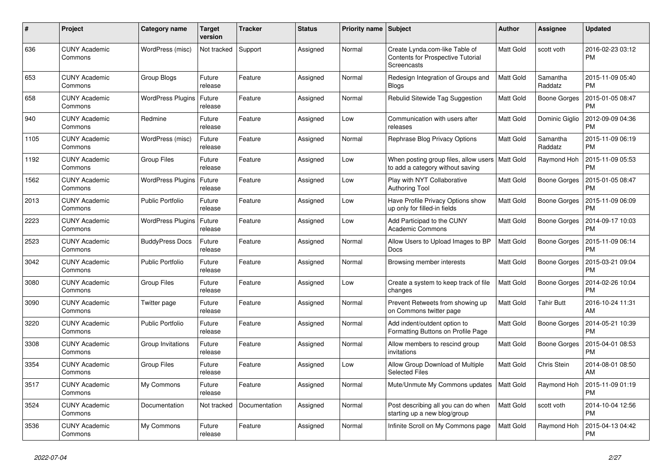| $\#$ | <b>Project</b>                  | Category name              | <b>Target</b><br>version | <b>Tracker</b> | <b>Status</b> | <b>Priority name</b> | <b>Subject</b>                                                                        | <b>Author</b>    | Assignee            | <b>Updated</b>                |
|------|---------------------------------|----------------------------|--------------------------|----------------|---------------|----------------------|---------------------------------------------------------------------------------------|------------------|---------------------|-------------------------------|
| 636  | <b>CUNY Academic</b><br>Commons | WordPress (misc)           | Not tracked              | Support        | Assigned      | Normal               | Create Lynda.com-like Table of<br>Contents for Prospective Tutorial<br>Screencasts    | <b>Matt Gold</b> | scott voth          | 2016-02-23 03:12<br><b>PM</b> |
| 653  | <b>CUNY Academic</b><br>Commons | Group Blogs                | Future<br>release        | Feature        | Assigned      | Normal               | Redesign Integration of Groups and<br>Blogs                                           | <b>Matt Gold</b> | Samantha<br>Raddatz | 2015-11-09 05:40<br><b>PM</b> |
| 658  | <b>CUNY Academic</b><br>Commons | WordPress Plugins   Future | release                  | Feature        | Assigned      | Normal               | Rebulid Sitewide Tag Suggestion                                                       | Matt Gold        | Boone Gorges        | 2015-01-05 08:47<br><b>PM</b> |
| 940  | <b>CUNY Academic</b><br>Commons | Redmine                    | Future<br>release        | Feature        | Assigned      | Low                  | Communication with users after<br>releases                                            | <b>Matt Gold</b> | Dominic Giglio      | 2012-09-09 04:36<br><b>PM</b> |
| 1105 | <b>CUNY Academic</b><br>Commons | WordPress (misc)           | Future<br>release        | Feature        | Assigned      | Normal               | Rephrase Blog Privacy Options                                                         | <b>Matt Gold</b> | Samantha<br>Raddatz | 2015-11-09 06:19<br><b>PM</b> |
| 1192 | <b>CUNY Academic</b><br>Commons | <b>Group Files</b>         | Future<br>release        | Feature        | Assigned      | Low                  | When posting group files, allow users   Matt Gold<br>to add a category without saving |                  | Raymond Hoh         | 2015-11-09 05:53<br><b>PM</b> |
| 1562 | <b>CUNY Academic</b><br>Commons | <b>WordPress Plugins</b>   | Future<br>release        | Feature        | Assigned      | Low                  | Play with NYT Collaborative<br><b>Authoring Tool</b>                                  | <b>Matt Gold</b> | <b>Boone Gorges</b> | 2015-01-05 08:47<br><b>PM</b> |
| 2013 | <b>CUNY Academic</b><br>Commons | <b>Public Portfolio</b>    | Future<br>release        | Feature        | Assigned      | Low                  | Have Profile Privacy Options show<br>up only for filled-in fields                     | Matt Gold        | Boone Gorges        | 2015-11-09 06:09<br><b>PM</b> |
| 2223 | <b>CUNY Academic</b><br>Commons | <b>WordPress Plugins</b>   | Future<br>release        | Feature        | Assigned      | Low                  | Add Participad to the CUNY<br><b>Academic Commons</b>                                 | Matt Gold        | Boone Gorges        | 2014-09-17 10:03<br>PM        |
| 2523 | <b>CUNY Academic</b><br>Commons | <b>BuddyPress Docs</b>     | Future<br>release        | Feature        | Assigned      | Normal               | Allow Users to Upload Images to BP<br><b>Docs</b>                                     | Matt Gold        | <b>Boone Gorges</b> | 2015-11-09 06:14<br><b>PM</b> |
| 3042 | <b>CUNY Academic</b><br>Commons | <b>Public Portfolio</b>    | Future<br>release        | Feature        | Assigned      | Normal               | Browsing member interests                                                             | Matt Gold        | Boone Gorges        | 2015-03-21 09:04<br><b>PM</b> |
| 3080 | <b>CUNY Academic</b><br>Commons | Group Files                | Future<br>release        | Feature        | Assigned      | Low                  | Create a system to keep track of file<br>changes                                      | <b>Matt Gold</b> | <b>Boone Gorges</b> | 2014-02-26 10:04<br><b>PM</b> |
| 3090 | <b>CUNY Academic</b><br>Commons | Twitter page               | Future<br>release        | Feature        | Assigned      | Normal               | Prevent Retweets from showing up<br>on Commons twitter page                           | <b>Matt Gold</b> | <b>Tahir Butt</b>   | 2016-10-24 11:31<br>AM        |
| 3220 | <b>CUNY Academic</b><br>Commons | <b>Public Portfolio</b>    | Future<br>release        | Feature        | Assigned      | Normal               | Add indent/outdent option to<br>Formatting Buttons on Profile Page                    | Matt Gold        | Boone Gorges        | 2014-05-21 10:39<br><b>PM</b> |
| 3308 | <b>CUNY Academic</b><br>Commons | Group Invitations          | Future<br>release        | Feature        | Assigned      | Normal               | Allow members to rescind group<br>invitations                                         | <b>Matt Gold</b> | <b>Boone Gorges</b> | 2015-04-01 08:53<br><b>PM</b> |
| 3354 | <b>CUNY Academic</b><br>Commons | <b>Group Files</b>         | Future<br>release        | Feature        | Assigned      | Low                  | Allow Group Download of Multiple<br><b>Selected Files</b>                             | Matt Gold        | Chris Stein         | 2014-08-01 08:50<br>AM        |
| 3517 | <b>CUNY Academic</b><br>Commons | My Commons                 | Future<br>release        | Feature        | Assigned      | Normal               | Mute/Unmute My Commons updates                                                        | <b>Matt Gold</b> | Raymond Hoh         | 2015-11-09 01:19<br><b>PM</b> |
| 3524 | <b>CUNY Academic</b><br>Commons | Documentation              | Not tracked              | Documentation  | Assigned      | Normal               | Post describing all you can do when<br>starting up a new blog/group                   | <b>Matt Gold</b> | scott voth          | 2014-10-04 12:56<br><b>PM</b> |
| 3536 | <b>CUNY Academic</b><br>Commons | My Commons                 | Future<br>release        | Feature        | Assigned      | Normal               | Infinite Scroll on My Commons page                                                    | Matt Gold        | Raymond Hoh         | 2015-04-13 04:42<br><b>PM</b> |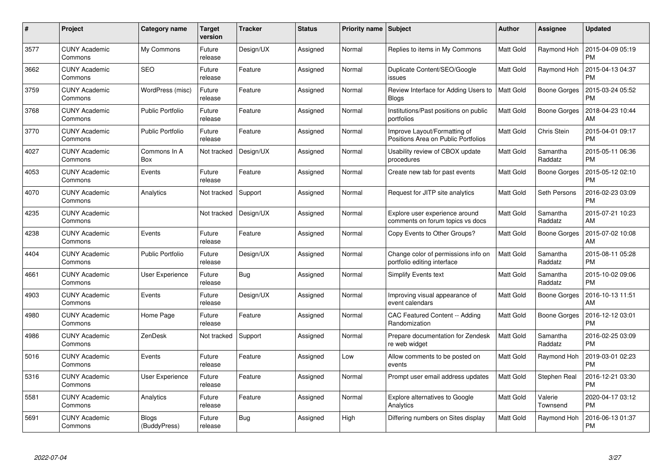| #    | Project                         | Category name           | <b>Target</b><br>version | <b>Tracker</b> | <b>Status</b> | <b>Priority name</b> | <b>Subject</b>                                                      | <b>Author</b>    | Assignee            | <b>Updated</b>                |
|------|---------------------------------|-------------------------|--------------------------|----------------|---------------|----------------------|---------------------------------------------------------------------|------------------|---------------------|-------------------------------|
| 3577 | <b>CUNY Academic</b><br>Commons | My Commons              | Future<br>release        | Design/UX      | Assigned      | Normal               | Replies to items in My Commons                                      | <b>Matt Gold</b> | Raymond Hoh         | 2015-04-09 05:19<br><b>PM</b> |
| 3662 | <b>CUNY Academic</b><br>Commons | <b>SEO</b>              | Future<br>release        | Feature        | Assigned      | Normal               | Duplicate Content/SEO/Google<br>issues                              | <b>Matt Gold</b> | Raymond Hoh         | 2015-04-13 04:37<br><b>PM</b> |
| 3759 | <b>CUNY Academic</b><br>Commons | WordPress (misc)        | Future<br>release        | Feature        | Assigned      | Normal               | Review Interface for Adding Users to<br>Blogs                       | <b>Matt Gold</b> | <b>Boone Gorges</b> | 2015-03-24 05:52<br><b>PM</b> |
| 3768 | <b>CUNY Academic</b><br>Commons | <b>Public Portfolio</b> | Future<br>release        | Feature        | Assigned      | Normal               | Institutions/Past positions on public<br>portfolios                 | Matt Gold        | Boone Gorges        | 2018-04-23 10:44<br>AM        |
| 3770 | <b>CUNY Academic</b><br>Commons | <b>Public Portfolio</b> | Future<br>release        | Feature        | Assigned      | Normal               | Improve Layout/Formatting of<br>Positions Area on Public Portfolios | <b>Matt Gold</b> | Chris Stein         | 2015-04-01 09:17<br><b>PM</b> |
| 4027 | <b>CUNY Academic</b><br>Commons | Commons In A<br>Box     | Not tracked              | Design/UX      | Assigned      | Normal               | Usability review of CBOX update<br>procedures                       | Matt Gold        | Samantha<br>Raddatz | 2015-05-11 06:36<br><b>PM</b> |
| 4053 | <b>CUNY Academic</b><br>Commons | Events                  | Future<br>release        | Feature        | Assigned      | Normal               | Create new tab for past events                                      | <b>Matt Gold</b> | <b>Boone Gorges</b> | 2015-05-12 02:10<br><b>PM</b> |
| 4070 | <b>CUNY Academic</b><br>Commons | Analytics               | Not tracked              | Support        | Assigned      | Normal               | Request for JITP site analytics                                     | <b>Matt Gold</b> | Seth Persons        | 2016-02-23 03:09<br><b>PM</b> |
| 4235 | <b>CUNY Academic</b><br>Commons |                         | Not tracked              | Design/UX      | Assigned      | Normal               | Explore user experience around<br>comments on forum topics vs docs  | <b>Matt Gold</b> | Samantha<br>Raddatz | 2015-07-21 10:23<br>AM        |
| 4238 | <b>CUNY Academic</b><br>Commons | Events                  | Future<br>release        | Feature        | Assigned      | Normal               | Copy Events to Other Groups?                                        | <b>Matt Gold</b> | Boone Gorges        | 2015-07-02 10:08<br>AM        |
| 4404 | <b>CUNY Academic</b><br>Commons | <b>Public Portfolio</b> | Future<br>release        | Design/UX      | Assigned      | Normal               | Change color of permissions info on<br>portfolio editing interface  | Matt Gold        | Samantha<br>Raddatz | 2015-08-11 05:28<br><b>PM</b> |
| 4661 | <b>CUNY Academic</b><br>Commons | User Experience         | Future<br>release        | <b>Bug</b>     | Assigned      | Normal               | Simplify Events text                                                | Matt Gold        | Samantha<br>Raddatz | 2015-10-02 09:06<br><b>PM</b> |
| 4903 | <b>CUNY Academic</b><br>Commons | Events                  | Future<br>release        | Design/UX      | Assigned      | Normal               | Improving visual appearance of<br>event calendars                   | <b>Matt Gold</b> | Boone Gorges        | 2016-10-13 11:51<br>AM        |
| 4980 | <b>CUNY Academic</b><br>Commons | Home Page               | Future<br>release        | Feature        | Assigned      | Normal               | CAC Featured Content -- Adding<br>Randomization                     | Matt Gold        | Boone Gorges        | 2016-12-12 03:01<br><b>PM</b> |
| 4986 | <b>CUNY Academic</b><br>Commons | ZenDesk                 | Not tracked              | Support        | Assigned      | Normal               | Prepare documentation for Zendesk<br>re web widget                  | Matt Gold        | Samantha<br>Raddatz | 2016-02-25 03:09<br><b>PM</b> |
| 5016 | <b>CUNY Academic</b><br>Commons | Events                  | Future<br>release        | Feature        | Assigned      | Low                  | Allow comments to be posted on<br>events                            | <b>Matt Gold</b> | Raymond Hoh         | 2019-03-01 02:23<br><b>PM</b> |
| 5316 | <b>CUNY Academic</b><br>Commons | User Experience         | Future<br>release        | Feature        | Assigned      | Normal               | Prompt user email address updates                                   | <b>Matt Gold</b> | Stephen Real        | 2016-12-21 03:30<br><b>PM</b> |
| 5581 | <b>CUNY Academic</b><br>Commons | Analytics               | Future<br>release        | Feature        | Assigned      | Normal               | Explore alternatives to Google<br>Analytics                         | Matt Gold        | Valerie<br>Townsend | 2020-04-17 03:12<br><b>PM</b> |
| 5691 | CUNY Academic<br>Commons        | Blogs<br>(BuddyPress)   | Future<br>release        | <b>Bug</b>     | Assigned      | High                 | Differing numbers on Sites display                                  | <b>Matt Gold</b> | Raymond Hoh         | 2016-06-13 01:37<br><b>PM</b> |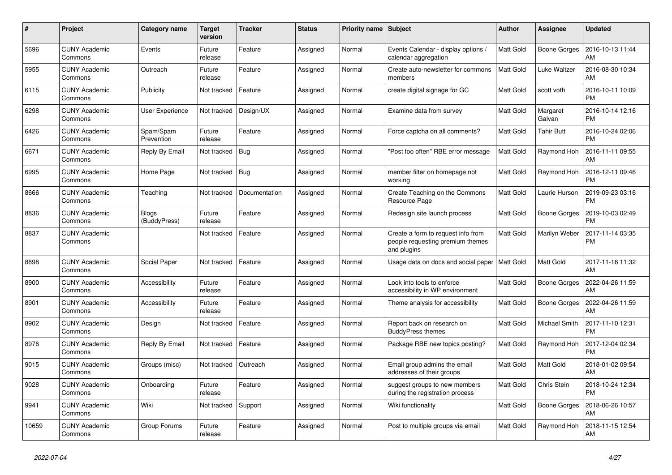| #     | Project                         | Category name                | <b>Target</b><br>version | <b>Tracker</b> | <b>Status</b> | <b>Priority name</b> | <b>Subject</b>                                                                        | <b>Author</b>    | Assignee            | <b>Updated</b>                |
|-------|---------------------------------|------------------------------|--------------------------|----------------|---------------|----------------------|---------------------------------------------------------------------------------------|------------------|---------------------|-------------------------------|
| 5696  | <b>CUNY Academic</b><br>Commons | Events                       | Future<br>release        | Feature        | Assigned      | Normal               | Events Calendar - display options /<br>calendar aggregation                           | <b>Matt Gold</b> | Boone Gorges        | 2016-10-13 11:44<br>AM        |
| 5955  | <b>CUNY Academic</b><br>Commons | Outreach                     | Future<br>release        | Feature        | Assigned      | Normal               | Create auto-newsletter for commons<br>members                                         | <b>Matt Gold</b> | <b>Luke Waltzer</b> | 2016-08-30 10:34<br>AM        |
| 6115  | <b>CUNY Academic</b><br>Commons | Publicity                    | Not tracked              | Feature        | Assigned      | Normal               | create digital signage for GC                                                         | Matt Gold        | scott voth          | 2016-10-11 10:09<br><b>PM</b> |
| 6298  | <b>CUNY Academic</b><br>Commons | User Experience              | Not tracked              | Design/UX      | Assigned      | Normal               | Examine data from survey                                                              | Matt Gold        | Margaret<br>Galvan  | 2016-10-14 12:16<br><b>PM</b> |
| 6426  | <b>CUNY Academic</b><br>Commons | Spam/Spam<br>Prevention      | Future<br>release        | Feature        | Assigned      | Normal               | Force captcha on all comments?                                                        | <b>Matt Gold</b> | <b>Tahir Butt</b>   | 2016-10-24 02:06<br><b>PM</b> |
| 6671  | <b>CUNY Academic</b><br>Commons | Reply By Email               | Not tracked              | <b>Bug</b>     | Assigned      | Normal               | "Post too often" RBE error message                                                    | <b>Matt Gold</b> | Raymond Hoh         | 2016-11-11 09:55<br>AM        |
| 6995  | <b>CUNY Academic</b><br>Commons | Home Page                    | Not tracked              | Bug            | Assigned      | Normal               | member filter on homepage not<br>workina                                              | <b>Matt Gold</b> | Raymond Hoh         | 2016-12-11 09:46<br><b>PM</b> |
| 8666  | <b>CUNY Academic</b><br>Commons | Teaching                     | Not tracked              | Documentation  | Assigned      | Normal               | Create Teaching on the Commons<br>Resource Page                                       | Matt Gold        | Laurie Hurson       | 2019-09-23 03:16<br><b>PM</b> |
| 8836  | <b>CUNY Academic</b><br>Commons | <b>Blogs</b><br>(BuddyPress) | Future<br>release        | Feature        | Assigned      | Normal               | Redesign site launch process                                                          | <b>Matt Gold</b> | <b>Boone Gorges</b> | 2019-10-03 02:49<br><b>PM</b> |
| 8837  | <b>CUNY Academic</b><br>Commons |                              | Not tracked              | Feature        | Assigned      | Normal               | Create a form to request info from<br>people requesting premium themes<br>and plugins | Matt Gold        | Marilyn Weber       | 2017-11-14 03:35<br><b>PM</b> |
| 8898  | <b>CUNY Academic</b><br>Commons | <b>Social Paper</b>          | Not tracked              | Feature        | Assigned      | Normal               | Usage data on docs and social paper                                                   | <b>Matt Gold</b> | Matt Gold           | 2017-11-16 11:32<br>AM        |
| 8900  | <b>CUNY Academic</b><br>Commons | Accessibility                | Future<br>release        | Feature        | Assigned      | Normal               | Look into tools to enforce<br>accessibility in WP environment                         | <b>Matt Gold</b> | <b>Boone Gorges</b> | 2022-04-26 11:59<br>AM        |
| 8901  | <b>CUNY Academic</b><br>Commons | Accessibility                | Future<br>release        | Feature        | Assigned      | Normal               | Theme analysis for accessibility                                                      | <b>Matt Gold</b> | <b>Boone Gorges</b> | 2022-04-26 11:59<br>AM        |
| 8902  | <b>CUNY Academic</b><br>Commons | Design                       | Not tracked              | Feature        | Assigned      | Normal               | Report back on research on<br><b>BuddyPress themes</b>                                | <b>Matt Gold</b> | Michael Smith       | 2017-11-10 12:31<br><b>PM</b> |
| 8976  | <b>CUNY Academic</b><br>Commons | Reply By Email               | Not tracked              | Feature        | Assigned      | Normal               | Package RBE new topics posting?                                                       | <b>Matt Gold</b> | Raymond Hoh         | 2017-12-04 02:34<br><b>PM</b> |
| 9015  | <b>CUNY Academic</b><br>Commons | Groups (misc)                | Not tracked              | Outreach       | Assigned      | Normal               | Email group admins the email<br>addresses of their groups                             | Matt Gold        | Matt Gold           | 2018-01-02 09:54<br>AM        |
| 9028  | <b>CUNY Academic</b><br>Commons | Onboarding                   | Future<br>release        | Feature        | Assigned      | Normal               | suggest groups to new members<br>during the registration process                      | Matt Gold        | Chris Stein         | 2018-10-24 12:34<br><b>PM</b> |
| 9941  | <b>CUNY Academic</b><br>Commons | Wiki                         | Not tracked              | Support        | Assigned      | Normal               | Wiki functionality                                                                    | <b>Matt Gold</b> | Boone Gorges        | 2018-06-26 10:57<br>AM        |
| 10659 | <b>CUNY Academic</b><br>Commons | Group Forums                 | Future<br>release        | Feature        | Assigned      | Normal               | Post to multiple groups via email                                                     | Matt Gold        | Raymond Hoh         | 2018-11-15 12:54<br>AM        |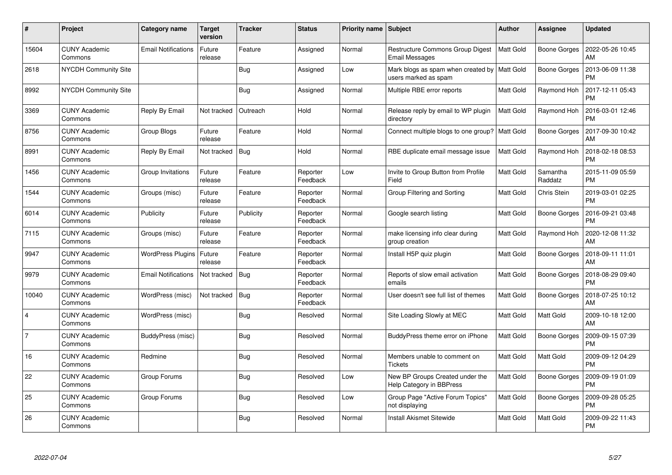| $\#$           | <b>Project</b>                  | Category name              | <b>Target</b><br>version | <b>Tracker</b> | <b>Status</b>        | <b>Priority name</b> | <b>Subject</b>                                                         | <b>Author</b>    | Assignee            | <b>Updated</b>                |
|----------------|---------------------------------|----------------------------|--------------------------|----------------|----------------------|----------------------|------------------------------------------------------------------------|------------------|---------------------|-------------------------------|
| 15604          | <b>CUNY Academic</b><br>Commons | <b>Email Notifications</b> | Future<br>release        | Feature        | Assigned             | Normal               | <b>Restructure Commons Group Digest</b><br><b>Email Messages</b>       | <b>Matt Gold</b> | Boone Gorges        | 2022-05-26 10:45<br>AM        |
| 2618           | <b>NYCDH Community Site</b>     |                            |                          | Bug            | Assigned             | Low                  | Mark blogs as spam when created by   Matt Gold<br>users marked as spam |                  | <b>Boone Gorges</b> | 2013-06-09 11:38<br><b>PM</b> |
| 8992           | <b>NYCDH Community Site</b>     |                            |                          | <b>Bug</b>     | Assigned             | Normal               | Multiple RBE error reports                                             | <b>Matt Gold</b> | Raymond Hoh         | 2017-12-11 05:43<br><b>PM</b> |
| 3369           | <b>CUNY Academic</b><br>Commons | Reply By Email             | Not tracked              | Outreach       | Hold                 | Normal               | Release reply by email to WP plugin<br>directory                       | <b>Matt Gold</b> | Raymond Hoh         | 2016-03-01 12:46<br><b>PM</b> |
| 8756           | <b>CUNY Academic</b><br>Commons | Group Blogs                | Future<br>release        | Feature        | Hold                 | Normal               | Connect multiple blogs to one group?   Matt Gold                       |                  | <b>Boone Gorges</b> | 2017-09-30 10:42<br>AM        |
| 8991           | <b>CUNY Academic</b><br>Commons | Reply By Email             | Not tracked              | <b>Bug</b>     | Hold                 | Normal               | RBE duplicate email message issue                                      | <b>Matt Gold</b> | Raymond Hoh         | 2018-02-18 08:53<br><b>PM</b> |
| 1456           | <b>CUNY Academic</b><br>Commons | Group Invitations          | Future<br>release        | Feature        | Reporter<br>Feedback | Low                  | Invite to Group Button from Profile<br>Field                           | Matt Gold        | Samantha<br>Raddatz | 2015-11-09 05:59<br><b>PM</b> |
| 1544           | <b>CUNY Academic</b><br>Commons | Groups (misc)              | Future<br>release        | Feature        | Reporter<br>Feedback | Normal               | Group Filtering and Sorting                                            | <b>Matt Gold</b> | Chris Stein         | 2019-03-01 02:25<br><b>PM</b> |
| 6014           | <b>CUNY Academic</b><br>Commons | Publicity                  | Future<br>release        | Publicity      | Reporter<br>Feedback | Normal               | Google search listing                                                  | <b>Matt Gold</b> | Boone Gorges        | 2016-09-21 03:48<br><b>PM</b> |
| 7115           | <b>CUNY Academic</b><br>Commons | Groups (misc)              | Future<br>release        | Feature        | Reporter<br>Feedback | Normal               | make licensing info clear during<br>group creation                     | <b>Matt Gold</b> | Raymond Hoh         | 2020-12-08 11:32<br>AM        |
| 9947           | <b>CUNY Academic</b><br>Commons | <b>WordPress Plugins</b>   | Future<br>release        | Feature        | Reporter<br>Feedback | Normal               | Install H5P quiz plugin                                                | <b>Matt Gold</b> | <b>Boone Gorges</b> | 2018-09-11 11:01<br>AM        |
| 9979           | <b>CUNY Academic</b><br>Commons | <b>Email Notifications</b> | Not tracked              | <b>Bug</b>     | Reporter<br>Feedback | Normal               | Reports of slow email activation<br>emails                             | Matt Gold        | <b>Boone Gorges</b> | 2018-08-29 09:40<br><b>PM</b> |
| 10040          | <b>CUNY Academic</b><br>Commons | WordPress (misc)           | Not tracked              | <b>Bug</b>     | Reporter<br>Feedback | Normal               | User doesn't see full list of themes                                   | <b>Matt Gold</b> | Boone Gorges        | 2018-07-25 10:12<br>AM        |
| $\overline{4}$ | <b>CUNY Academic</b><br>Commons | WordPress (misc)           |                          | <b>Bug</b>     | Resolved             | Normal               | Site Loading Slowly at MEC                                             | Matt Gold        | Matt Gold           | 2009-10-18 12:00<br>AM        |
| $\overline{7}$ | <b>CUNY Academic</b><br>Commons | BuddyPress (misc)          |                          | <b>Bug</b>     | Resolved             | Normal               | BuddyPress theme error on iPhone                                       | <b>Matt Gold</b> | Boone Gorges        | 2009-09-15 07:39<br><b>PM</b> |
| 16             | <b>CUNY Academic</b><br>Commons | Redmine                    |                          | <b>Bug</b>     | Resolved             | Normal               | Members unable to comment on<br><b>Tickets</b>                         | <b>Matt Gold</b> | Matt Gold           | 2009-09-12 04:29<br><b>PM</b> |
| 22             | <b>CUNY Academic</b><br>Commons | Group Forums               |                          | Bug            | Resolved             | Low                  | New BP Groups Created under the<br>Help Category in BBPress            | Matt Gold        | Boone Gorges        | 2009-09-19 01:09<br><b>PM</b> |
| 25             | <b>CUNY Academic</b><br>Commons | Group Forums               |                          | <b>Bug</b>     | Resolved             | Low                  | Group Page "Active Forum Topics"<br>not displaying                     | <b>Matt Gold</b> | <b>Boone Gorges</b> | 2009-09-28 05:25<br><b>PM</b> |
| 26             | <b>CUNY Academic</b><br>Commons |                            |                          | <b>Bug</b>     | Resolved             | Normal               | <b>Install Akismet Sitewide</b>                                        | Matt Gold        | <b>Matt Gold</b>    | 2009-09-22 11:43<br>PM        |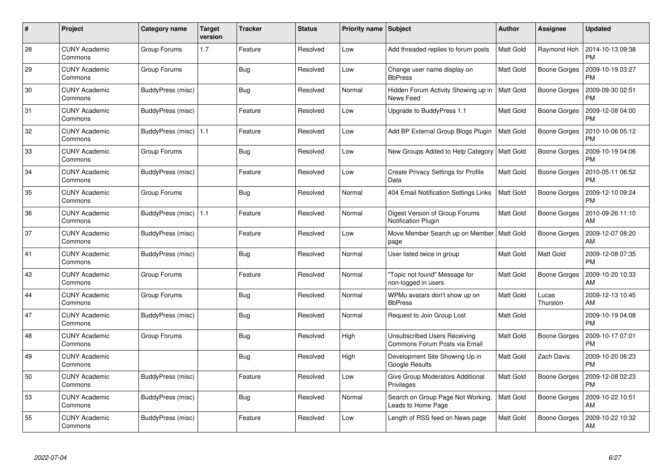| #  | Project                         | Category name           | Target<br>version | <b>Tracker</b> | <b>Status</b> | <b>Priority name</b> | <b>Subject</b>                                                       | <b>Author</b>    | <b>Assignee</b>     | <b>Updated</b>                |
|----|---------------------------------|-------------------------|-------------------|----------------|---------------|----------------------|----------------------------------------------------------------------|------------------|---------------------|-------------------------------|
| 28 | <b>CUNY Academic</b><br>Commons | Group Forums            | 1.7               | Feature        | Resolved      | Low                  | Add threaded replies to forum posts                                  | <b>Matt Gold</b> | Raymond Hoh         | 2014-10-13 09:38<br><b>PM</b> |
| 29 | <b>CUNY Academic</b><br>Commons | Group Forums            |                   | Bug            | Resolved      | Low                  | Change user name display on<br><b>BbPress</b>                        | Matt Gold        | <b>Boone Gorges</b> | 2009-10-19 03:27<br><b>PM</b> |
| 30 | <b>CUNY Academic</b><br>Commons | BuddyPress (misc)       |                   | <b>Bug</b>     | Resolved      | Normal               | Hidden Forum Activity Showing up in<br>News Feed                     | <b>Matt Gold</b> | Boone Gorges        | 2009-09-30 02:51<br><b>PM</b> |
| 31 | <b>CUNY Academic</b><br>Commons | BuddyPress (misc)       |                   | Feature        | Resolved      | Low                  | Upgrade to BuddyPress 1.1                                            | Matt Gold        | Boone Gorges        | 2009-12-08 04:00<br><b>PM</b> |
| 32 | <b>CUNY Academic</b><br>Commons | BuddyPress (misc)   1.1 |                   | Feature        | Resolved      | Low                  | Add BP External Group Blogs Plugin                                   | <b>Matt Gold</b> | Boone Gorges        | 2010-10-06 05:12<br><b>PM</b> |
| 33 | <b>CUNY Academic</b><br>Commons | Group Forums            |                   | <b>Bug</b>     | Resolved      | Low                  | New Groups Added to Help Category                                    | Matt Gold        | Boone Gorges        | 2009-10-19 04:06<br><b>PM</b> |
| 34 | <b>CUNY Academic</b><br>Commons | BuddyPress (misc)       |                   | Feature        | Resolved      | Low                  | Create Privacy Settings for Profile<br>Data                          | <b>Matt Gold</b> | <b>Boone Gorges</b> | 2010-05-11 06:52<br><b>PM</b> |
| 35 | <b>CUNY Academic</b><br>Commons | Group Forums            |                   | Bug            | Resolved      | Normal               | 404 Email Notification Settings Links                                | Matt Gold        | Boone Gorges        | 2009-12-10 09:24<br><b>PM</b> |
| 36 | <b>CUNY Academic</b><br>Commons | BuddyPress (misc)   1.1 |                   | Feature        | Resolved      | Normal               | Digest Version of Group Forums<br><b>Notification Plugin</b>         | <b>Matt Gold</b> | <b>Boone Gorges</b> | 2010-09-26 11:10<br>AM        |
| 37 | <b>CUNY Academic</b><br>Commons | BuddyPress (misc)       |                   | Feature        | Resolved      | Low                  | Move Member Search up on Member<br>page                              | <b>Matt Gold</b> | Boone Gorges        | 2009-12-07 08:20<br>AM        |
| 41 | <b>CUNY Academic</b><br>Commons | BuddyPress (misc)       |                   | Bug            | Resolved      | Normal               | User listed twice in group                                           | Matt Gold        | Matt Gold           | 2009-12-08 07:35<br><b>PM</b> |
| 43 | <b>CUNY Academic</b><br>Commons | Group Forums            |                   | Feature        | Resolved      | Normal               | "Topic not found" Message for<br>non-logged in users                 | Matt Gold        | <b>Boone Gorges</b> | 2009-10-20 10:33<br>AM        |
| 44 | <b>CUNY Academic</b><br>Commons | Group Forums            |                   | <b>Bug</b>     | Resolved      | Normal               | WPMu avatars don't show up on<br><b>BbPress</b>                      | <b>Matt Gold</b> | Lucas<br>Thurston   | 2009-12-13 10:45<br>AM        |
| 47 | <b>CUNY Academic</b><br>Commons | BuddyPress (misc)       |                   | Bug            | Resolved      | Normal               | Request to Join Group Lost                                           | Matt Gold        |                     | 2009-10-19 04:08<br><b>PM</b> |
| 48 | <b>CUNY Academic</b><br>Commons | Group Forums            |                   | <b>Bug</b>     | Resolved      | High                 | <b>Unsubscribed Users Receiving</b><br>Commons Forum Posts via Email | Matt Gold        | Boone Gorges        | 2009-10-17 07:01<br><b>PM</b> |
| 49 | <b>CUNY Academic</b><br>Commons |                         |                   | <b>Bug</b>     | Resolved      | High                 | Development Site Showing Up in<br>Google Results                     | Matt Gold        | Zach Davis          | 2009-10-20 06:23<br><b>PM</b> |
| 50 | <b>CUNY Academic</b><br>Commons | BuddyPress (misc)       |                   | Feature        | Resolved      | Low                  | Give Group Moderators Additional<br>Privileges                       | <b>Matt Gold</b> | <b>Boone Gorges</b> | 2009-12-08 02:23<br><b>PM</b> |
| 53 | <b>CUNY Academic</b><br>Commons | BuddyPress (misc)       |                   | Bug            | Resolved      | Normal               | Search on Group Page Not Working,<br>Leads to Home Page              | <b>Matt Gold</b> | Boone Gorges        | 2009-10-22 10:51<br>AM        |
| 55 | <b>CUNY Academic</b><br>Commons | BuddyPress (misc)       |                   | Feature        | Resolved      | Low                  | Length of RSS feed on News page                                      | Matt Gold        | <b>Boone Gorges</b> | 2009-10-22 10:32<br>AM        |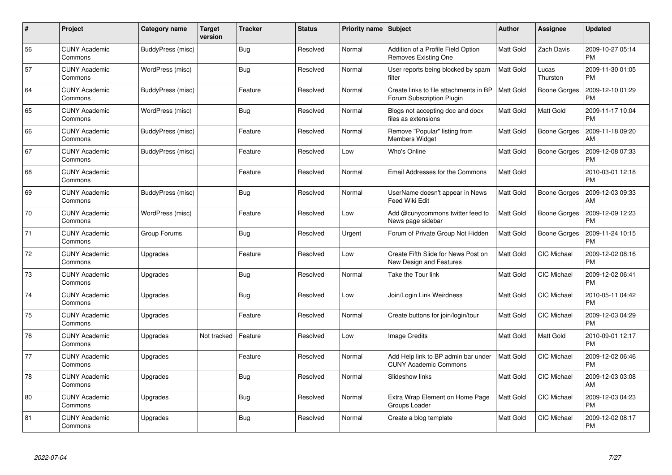| $\#$ | Project                         | Category name     | <b>Target</b><br>version | <b>Tracker</b> | <b>Status</b> | <b>Priority name</b> | <b>Subject</b>                                                      | <b>Author</b>    | Assignee            | <b>Updated</b>                |
|------|---------------------------------|-------------------|--------------------------|----------------|---------------|----------------------|---------------------------------------------------------------------|------------------|---------------------|-------------------------------|
| 56   | <b>CUNY Academic</b><br>Commons | BuddyPress (misc) |                          | <b>Bug</b>     | Resolved      | Normal               | Addition of a Profile Field Option<br>Removes Existing One          | <b>Matt Gold</b> | Zach Davis          | 2009-10-27 05:14<br><b>PM</b> |
| 57   | <b>CUNY Academic</b><br>Commons | WordPress (misc)  |                          | Bug            | Resolved      | Normal               | User reports being blocked by spam<br>filter                        | <b>Matt Gold</b> | Lucas<br>Thurston   | 2009-11-30 01:05<br><b>PM</b> |
| 64   | <b>CUNY Academic</b><br>Commons | BuddyPress (misc) |                          | Feature        | Resolved      | Normal               | Create links to file attachments in BP<br>Forum Subscription Plugin | <b>Matt Gold</b> | <b>Boone Gorges</b> | 2009-12-10 01:29<br><b>PM</b> |
| 65   | <b>CUNY Academic</b><br>Commons | WordPress (misc)  |                          | <b>Bug</b>     | Resolved      | Normal               | Blogs not accepting doc and docx<br>files as extensions             | Matt Gold        | Matt Gold           | 2009-11-17 10:04<br><b>PM</b> |
| 66   | <b>CUNY Academic</b><br>Commons | BuddyPress (misc) |                          | Feature        | Resolved      | Normal               | Remove "Popular" listing from<br>Members Widget                     | <b>Matt Gold</b> | <b>Boone Gorges</b> | 2009-11-18 09:20<br>AM        |
| 67   | <b>CUNY Academic</b><br>Commons | BuddyPress (misc) |                          | Feature        | Resolved      | Low                  | Who's Online                                                        | Matt Gold        | Boone Gorges        | 2009-12-08 07:33<br><b>PM</b> |
| 68   | <b>CUNY Academic</b><br>Commons |                   |                          | Feature        | Resolved      | Normal               | Email Addresses for the Commons                                     | Matt Gold        |                     | 2010-03-01 12:18<br><b>PM</b> |
| 69   | <b>CUNY Academic</b><br>Commons | BuddyPress (misc) |                          | <b>Bug</b>     | Resolved      | Normal               | UserName doesn't appear in News<br>Feed Wiki Edit                   | Matt Gold        | Boone Gorges        | 2009-12-03 09:33<br>AM        |
| 70   | <b>CUNY Academic</b><br>Commons | WordPress (misc)  |                          | Feature        | Resolved      | Low                  | Add @cunycommons twitter feed to<br>News page sidebar               | Matt Gold        | <b>Boone Gorges</b> | 2009-12-09 12:23<br><b>PM</b> |
| 71   | <b>CUNY Academic</b><br>Commons | Group Forums      |                          | <b>Bug</b>     | Resolved      | Urgent               | Forum of Private Group Not Hidden                                   | <b>Matt Gold</b> | <b>Boone Gorges</b> | 2009-11-24 10:15<br><b>PM</b> |
| 72   | <b>CUNY Academic</b><br>Commons | Upgrades          |                          | Feature        | Resolved      | Low                  | Create Fifth Slide for News Post on<br>New Design and Features      | Matt Gold        | CIC Michael         | 2009-12-02 08:16<br><b>PM</b> |
| 73   | <b>CUNY Academic</b><br>Commons | Upgrades          |                          | <b>Bug</b>     | Resolved      | Normal               | Take the Tour link                                                  | Matt Gold        | CIC Michael         | 2009-12-02 06:41<br><b>PM</b> |
| 74   | <b>CUNY Academic</b><br>Commons | Upgrades          |                          | Bug            | Resolved      | Low                  | Join/Login Link Weirdness                                           | <b>Matt Gold</b> | <b>CIC Michael</b>  | 2010-05-11 04:42<br><b>PM</b> |
| 75   | <b>CUNY Academic</b><br>Commons | Upgrades          |                          | Feature        | Resolved      | Normal               | Create buttons for join/login/tour                                  | <b>Matt Gold</b> | CIC Michael         | 2009-12-03 04:29<br><b>PM</b> |
| 76   | <b>CUNY Academic</b><br>Commons | Upgrades          | Not tracked              | Feature        | Resolved      | Low                  | Image Credits                                                       | <b>Matt Gold</b> | Matt Gold           | 2010-09-01 12:17<br><b>PM</b> |
| 77   | <b>CUNY Academic</b><br>Commons | Upgrades          |                          | Feature        | Resolved      | Normal               | Add Help link to BP admin bar under<br><b>CUNY Academic Commons</b> | <b>Matt Gold</b> | CIC Michael         | 2009-12-02 06:46<br><b>PM</b> |
| 78   | <b>CUNY Academic</b><br>Commons | Upgrades          |                          | Bug            | Resolved      | Normal               | Slideshow links                                                     | <b>Matt Gold</b> | <b>CIC Michael</b>  | 2009-12-03 03:08<br>AM        |
| 80   | <b>CUNY Academic</b><br>Commons | Upgrades          |                          | <b>Bug</b>     | Resolved      | Normal               | Extra Wrap Element on Home Page<br>Groups Loader                    | <b>Matt Gold</b> | CIC Michael         | 2009-12-03 04:23<br><b>PM</b> |
| 81   | <b>CUNY Academic</b><br>Commons | Upgrades          |                          | Bug            | Resolved      | Normal               | Create a blog template                                              | Matt Gold        | <b>CIC Michael</b>  | 2009-12-02 08:17<br>PM        |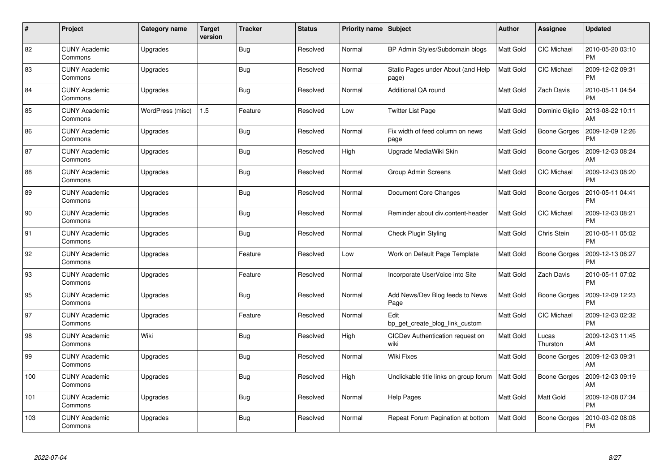| #   | Project                         | Category name    | <b>Target</b><br>version | <b>Tracker</b> | <b>Status</b> | <b>Priority name</b> | <b>Subject</b>                              | <b>Author</b>    | <b>Assignee</b>     | <b>Updated</b>                |
|-----|---------------------------------|------------------|--------------------------|----------------|---------------|----------------------|---------------------------------------------|------------------|---------------------|-------------------------------|
| 82  | <b>CUNY Academic</b><br>Commons | Upgrades         |                          | <b>Bug</b>     | Resolved      | Normal               | BP Admin Styles/Subdomain blogs             | Matt Gold        | <b>CIC Michael</b>  | 2010-05-20 03:10<br><b>PM</b> |
| 83  | <b>CUNY Academic</b><br>Commons | Upgrades         |                          | Bug            | Resolved      | Normal               | Static Pages under About (and Help<br>page) | <b>Matt Gold</b> | <b>CIC Michael</b>  | 2009-12-02 09:31<br><b>PM</b> |
| 84  | <b>CUNY Academic</b><br>Commons | Upgrades         |                          | Bug            | Resolved      | Normal               | Additional QA round                         | <b>Matt Gold</b> | Zach Davis          | 2010-05-11 04:54<br><b>PM</b> |
| 85  | <b>CUNY Academic</b><br>Commons | WordPress (misc) | 1.5                      | Feature        | Resolved      | Low                  | Twitter List Page                           | <b>Matt Gold</b> | Dominic Giglio      | 2013-08-22 10:11<br>AM        |
| 86  | <b>CUNY Academic</b><br>Commons | Upgrades         |                          | <b>Bug</b>     | Resolved      | Normal               | Fix width of feed column on news<br>page    | <b>Matt Gold</b> | <b>Boone Gorges</b> | 2009-12-09 12:26<br><b>PM</b> |
| 87  | <b>CUNY Academic</b><br>Commons | Upgrades         |                          | <b>Bug</b>     | Resolved      | High                 | Upgrade MediaWiki Skin                      | Matt Gold        | <b>Boone Gorges</b> | 2009-12-03 08:24<br>AM        |
| 88  | <b>CUNY Academic</b><br>Commons | Upgrades         |                          | Bug            | Resolved      | Normal               | Group Admin Screens                         | <b>Matt Gold</b> | <b>CIC Michael</b>  | 2009-12-03 08:20<br><b>PM</b> |
| 89  | <b>CUNY Academic</b><br>Commons | Upgrades         |                          | Bug            | Resolved      | Normal               | Document Core Changes                       | <b>Matt Gold</b> | <b>Boone Gorges</b> | 2010-05-11 04:41<br><b>PM</b> |
| 90  | <b>CUNY Academic</b><br>Commons | Upgrades         |                          | <b>Bug</b>     | Resolved      | Normal               | Reminder about div.content-header           | <b>Matt Gold</b> | CIC Michael         | 2009-12-03 08:21<br><b>PM</b> |
| 91  | <b>CUNY Academic</b><br>Commons | Upgrades         |                          | Bug            | Resolved      | Normal               | Check Plugin Styling                        | Matt Gold        | Chris Stein         | 2010-05-11 05:02<br><b>PM</b> |
| 92  | <b>CUNY Academic</b><br>Commons | Upgrades         |                          | Feature        | Resolved      | Low                  | Work on Default Page Template               | <b>Matt Gold</b> | <b>Boone Gorges</b> | 2009-12-13 06:27<br><b>PM</b> |
| 93  | <b>CUNY Academic</b><br>Commons | Upgrades         |                          | Feature        | Resolved      | Normal               | Incorporate UserVoice into Site             | <b>Matt Gold</b> | Zach Davis          | 2010-05-11 07:02<br><b>PM</b> |
| 95  | <b>CUNY Academic</b><br>Commons | Upgrades         |                          | Bug            | Resolved      | Normal               | Add News/Dev Blog feeds to News<br>Page     | <b>Matt Gold</b> | <b>Boone Gorges</b> | 2009-12-09 12:23<br><b>PM</b> |
| 97  | <b>CUNY Academic</b><br>Commons | Upgrades         |                          | Feature        | Resolved      | Normal               | Edit<br>bp get create blog link custom      | Matt Gold        | <b>CIC Michael</b>  | 2009-12-03 02:32<br><b>PM</b> |
| 98  | <b>CUNY Academic</b><br>Commons | Wiki             |                          | <b>Bug</b>     | Resolved      | High                 | CICDev Authentication request on<br>wiki    | <b>Matt Gold</b> | Lucas<br>Thurston   | 2009-12-03 11:45<br>AM        |
| 99  | <b>CUNY Academic</b><br>Commons | Upgrades         |                          | <b>Bug</b>     | Resolved      | Normal               | Wiki Fixes                                  | <b>Matt Gold</b> | Boone Gorges        | 2009-12-03 09:31<br>AM        |
| 100 | <b>CUNY Academic</b><br>Commons | Upgrades         |                          | Bug            | Resolved      | High                 | Unclickable title links on group forum      | Matt Gold        | Boone Gorges        | 2009-12-03 09:19<br>AM        |
| 101 | <b>CUNY Academic</b><br>Commons | Upgrades         |                          | <b>Bug</b>     | Resolved      | Normal               | <b>Help Pages</b>                           | Matt Gold        | Matt Gold           | 2009-12-08 07:34<br><b>PM</b> |
| 103 | <b>CUNY Academic</b><br>Commons | Upgrades         |                          | Bug            | Resolved      | Normal               | Repeat Forum Pagination at bottom           | <b>Matt Gold</b> | Boone Gorges        | 2010-03-02 08:08<br>PM        |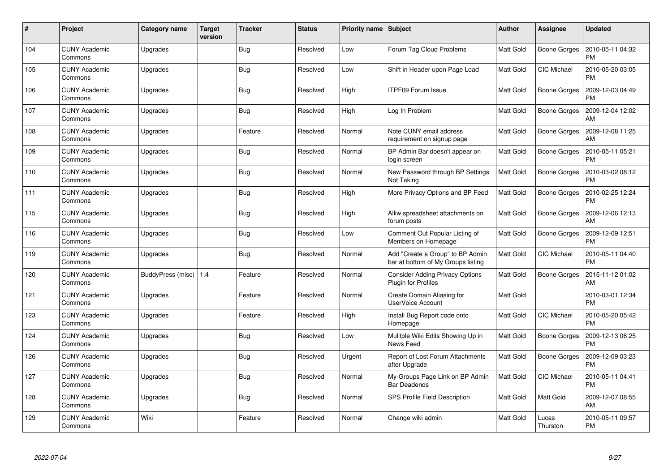| #   | Project                         | Category name           | Target<br>version | <b>Tracker</b> | <b>Status</b> | <b>Priority name</b> | <b>Subject</b>                                                         | <b>Author</b>    | <b>Assignee</b>     | <b>Updated</b>                |
|-----|---------------------------------|-------------------------|-------------------|----------------|---------------|----------------------|------------------------------------------------------------------------|------------------|---------------------|-------------------------------|
| 104 | <b>CUNY Academic</b><br>Commons | Upgrades                |                   | Bug            | Resolved      | Low                  | Forum Tag Cloud Problems                                               | <b>Matt Gold</b> | <b>Boone Gorges</b> | 2010-05-11 04:32<br><b>PM</b> |
| 105 | <b>CUNY Academic</b><br>Commons | Upgrades                |                   | Bug            | Resolved      | Low                  | Shift in Header upon Page Load                                         | <b>Matt Gold</b> | <b>CIC Michael</b>  | 2010-05-20 03:05<br><b>PM</b> |
| 106 | <b>CUNY Academic</b><br>Commons | Upgrades                |                   | Bug            | Resolved      | High                 | <b>ITPF09 Forum Issue</b>                                              | Matt Gold        | <b>Boone Gorges</b> | 2009-12-03 04:49<br><b>PM</b> |
| 107 | <b>CUNY Academic</b><br>Commons | Upgrades                |                   | Bug            | Resolved      | High                 | Log In Problem                                                         | <b>Matt Gold</b> | Boone Gorges        | 2009-12-04 12:02<br>AM        |
| 108 | <b>CUNY Academic</b><br>Commons | Upgrades                |                   | Feature        | Resolved      | Normal               | Note CUNY email address<br>requirement on signup page                  | Matt Gold        | Boone Gorges        | 2009-12-08 11:25<br>AM        |
| 109 | <b>CUNY Academic</b><br>Commons | Upgrades                |                   | Bug            | Resolved      | Normal               | BP Admin Bar doesn't appear on<br>login screen                         | Matt Gold        | Boone Gorges        | 2010-05-11 05:21<br><b>PM</b> |
| 110 | <b>CUNY Academic</b><br>Commons | Upgrades                |                   | <b>Bug</b>     | Resolved      | Normal               | New Password through BP Settings<br>Not Taking                         | Matt Gold        | Boone Gorges        | 2010-03-02 08:12<br><b>PM</b> |
| 111 | <b>CUNY Academic</b><br>Commons | Upgrades                |                   | Bug            | Resolved      | High                 | More Privacy Options and BP Feed                                       | Matt Gold        | Boone Gorges        | 2010-02-25 12:24<br><b>PM</b> |
| 115 | <b>CUNY Academic</b><br>Commons | Upgrades                |                   | Bug            | Resolved      | High                 | Alliw spreadsheet attachments on<br>forum posts                        | <b>Matt Gold</b> | <b>Boone Gorges</b> | 2009-12-06 12:13<br>AM        |
| 116 | <b>CUNY Academic</b><br>Commons | Upgrades                |                   | Bug            | Resolved      | Low                  | Comment Out Popular Listing of<br>Members on Homepage                  | Matt Gold        | Boone Gorges        | 2009-12-09 12:51<br><b>PM</b> |
| 119 | <b>CUNY Academic</b><br>Commons | Upgrades                |                   | <b>Bug</b>     | Resolved      | Normal               | Add "Create a Group" to BP Admin<br>bar at bottom of My Groups listing | Matt Gold        | CIC Michael         | 2010-05-11 04:40<br><b>PM</b> |
| 120 | <b>CUNY Academic</b><br>Commons | BuddyPress (misc)   1.4 |                   | Feature        | Resolved      | Normal               | <b>Consider Adding Privacy Options</b><br>Plugin for Profiles          | Matt Gold        | <b>Boone Gorges</b> | 2015-11-12 01:02<br>AM        |
| 121 | <b>CUNY Academic</b><br>Commons | Upgrades                |                   | Feature        | Resolved      | Normal               | Create Domain Aliasing for<br>UserVoice Account                        | <b>Matt Gold</b> |                     | 2010-03-01 12:34<br><b>PM</b> |
| 123 | <b>CUNY Academic</b><br>Commons | Upgrades                |                   | Feature        | Resolved      | High                 | Install Bug Report code onto<br>Homepage                               | Matt Gold        | CIC Michael         | 2010-05-20 05:42<br><b>PM</b> |
| 124 | <b>CUNY Academic</b><br>Commons | Upgrades                |                   | <b>Bug</b>     | Resolved      | Low                  | Mulitple Wiki Edits Showing Up in<br>News Feed                         | Matt Gold        | <b>Boone Gorges</b> | 2009-12-13 06:25<br><b>PM</b> |
| 126 | <b>CUNY Academic</b><br>Commons | Upgrades                |                   | Bug            | Resolved      | Urgent               | Report of Lost Forum Attachments<br>after Upgrade                      | Matt Gold        | Boone Gorges        | 2009-12-09 03:23<br><b>PM</b> |
| 127 | <b>CUNY Academic</b><br>Commons | Upgrades                |                   | <b>Bug</b>     | Resolved      | Normal               | My-Groups Page Link on BP Admin<br><b>Bar Deadends</b>                 | <b>Matt Gold</b> | CIC Michael         | 2010-05-11 04:41<br><b>PM</b> |
| 128 | <b>CUNY Academic</b><br>Commons | Upgrades                |                   | <b>Bug</b>     | Resolved      | Normal               | SPS Profile Field Description                                          | <b>Matt Gold</b> | Matt Gold           | 2009-12-07 08:55<br>AM        |
| 129 | <b>CUNY Academic</b><br>Commons | Wiki                    |                   | Feature        | Resolved      | Normal               | Change wiki admin                                                      | Matt Gold        | Lucas<br>Thurston   | 2010-05-11 09:57<br><b>PM</b> |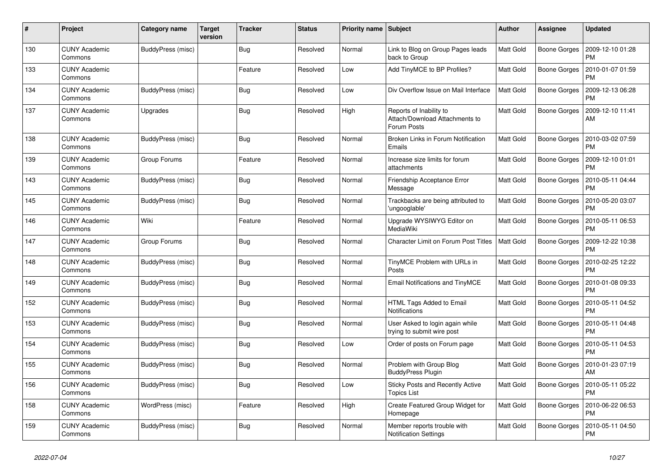| #   | Project                         | Category name            | <b>Target</b><br>version | <b>Tracker</b> | <b>Status</b> | <b>Priority name</b> | <b>Subject</b>                                                           | <b>Author</b>    | Assignee            | <b>Updated</b>                |
|-----|---------------------------------|--------------------------|--------------------------|----------------|---------------|----------------------|--------------------------------------------------------------------------|------------------|---------------------|-------------------------------|
| 130 | <b>CUNY Academic</b><br>Commons | <b>BuddyPress (misc)</b> |                          | Bug            | Resolved      | Normal               | Link to Blog on Group Pages leads<br>back to Group                       | <b>Matt Gold</b> | <b>Boone Gorges</b> | 2009-12-10 01:28<br><b>PM</b> |
| 133 | <b>CUNY Academic</b><br>Commons |                          |                          | Feature        | Resolved      | Low                  | Add TinyMCE to BP Profiles?                                              | <b>Matt Gold</b> | Boone Gorges        | 2010-01-07 01:59<br><b>PM</b> |
| 134 | <b>CUNY Academic</b><br>Commons | <b>BuddyPress (misc)</b> |                          | <b>Bug</b>     | Resolved      | Low                  | Div Overflow Issue on Mail Interface                                     | <b>Matt Gold</b> | Boone Gorges        | 2009-12-13 06:28<br><b>PM</b> |
| 137 | <b>CUNY Academic</b><br>Commons | Upgrades                 |                          | <b>Bug</b>     | Resolved      | High                 | Reports of Inability to<br>Attach/Download Attachments to<br>Forum Posts | <b>Matt Gold</b> | Boone Gorges        | 2009-12-10 11:41<br>AM        |
| 138 | <b>CUNY Academic</b><br>Commons | BuddyPress (misc)        |                          | Bug            | Resolved      | Normal               | Broken Links in Forum Notification<br>Emails                             | Matt Gold        | Boone Gorges        | 2010-03-02 07:59<br><b>PM</b> |
| 139 | <b>CUNY Academic</b><br>Commons | Group Forums             |                          | Feature        | Resolved      | Normal               | Increase size limits for forum<br>attachments                            | Matt Gold        | <b>Boone Gorges</b> | 2009-12-10 01:01<br><b>PM</b> |
| 143 | <b>CUNY Academic</b><br>Commons | BuddyPress (misc)        |                          | Bug            | Resolved      | Normal               | <b>Friendship Acceptance Error</b><br>Message                            | <b>Matt Gold</b> | <b>Boone Gorges</b> | 2010-05-11 04:44<br><b>PM</b> |
| 145 | <b>CUNY Academic</b><br>Commons | BuddyPress (misc)        |                          | <b>Bug</b>     | Resolved      | Normal               | Trackbacks are being attributed to<br>'ungooglable'                      | Matt Gold        | Boone Gorges        | 2010-05-20 03:07<br><b>PM</b> |
| 146 | <b>CUNY Academic</b><br>Commons | Wiki                     |                          | Feature        | Resolved      | Normal               | Upgrade WYSIWYG Editor on<br><b>MediaWiki</b>                            | <b>Matt Gold</b> | Boone Gorges        | 2010-05-11 06:53<br>PM        |
| 147 | <b>CUNY Academic</b><br>Commons | Group Forums             |                          | Bug            | Resolved      | Normal               | <b>Character Limit on Forum Post Titles</b>                              | <b>Matt Gold</b> | Boone Gorges        | 2009-12-22 10:38<br><b>PM</b> |
| 148 | <b>CUNY Academic</b><br>Commons | BuddyPress (misc)        |                          | <b>Bug</b>     | Resolved      | Normal               | TinyMCE Problem with URLs in<br>Posts                                    | Matt Gold        | Boone Gorges        | 2010-02-25 12:22<br><b>PM</b> |
| 149 | <b>CUNY Academic</b><br>Commons | BuddyPress (misc)        |                          | Bug            | Resolved      | Normal               | <b>Email Notifications and TinyMCE</b>                                   | Matt Gold        | Boone Gorges        | 2010-01-08 09:33<br><b>PM</b> |
| 152 | <b>CUNY Academic</b><br>Commons | <b>BuddyPress (misc)</b> |                          | Bug            | Resolved      | Normal               | <b>HTML Tags Added to Email</b><br><b>Notifications</b>                  | <b>Matt Gold</b> | <b>Boone Gorges</b> | 2010-05-11 04:52<br><b>PM</b> |
| 153 | <b>CUNY Academic</b><br>Commons | BuddyPress (misc)        |                          | <b>Bug</b>     | Resolved      | Normal               | User Asked to login again while<br>trying to submit wire post            | <b>Matt Gold</b> | Boone Gorges        | 2010-05-11 04:48<br><b>PM</b> |
| 154 | <b>CUNY Academic</b><br>Commons | BuddyPress (misc)        |                          | Bug            | Resolved      | Low                  | Order of posts on Forum page                                             | Matt Gold        | Boone Gorges        | 2010-05-11 04:53<br>PM        |
| 155 | <b>CUNY Academic</b><br>Commons | <b>BuddyPress (misc)</b> |                          | <b>Bug</b>     | Resolved      | Normal               | Problem with Group Blog<br><b>BuddyPress Plugin</b>                      | Matt Gold        | Boone Gorges        | 2010-01-23 07:19<br>AM        |
| 156 | <b>CUNY Academic</b><br>Commons | <b>BuddyPress (misc)</b> |                          | <b>Bug</b>     | Resolved      | Low                  | <b>Sticky Posts and Recently Active</b><br><b>Topics List</b>            | <b>Matt Gold</b> | Boone Gorges        | 2010-05-11 05:22<br><b>PM</b> |
| 158 | <b>CUNY Academic</b><br>Commons | WordPress (misc)         |                          | Feature        | Resolved      | High                 | Create Featured Group Widget for<br>Homepage                             | <b>Matt Gold</b> | Boone Gorges        | 2010-06-22 06:53<br><b>PM</b> |
| 159 | <b>CUNY Academic</b><br>Commons | <b>BuddyPress (misc)</b> |                          | <b>Bug</b>     | Resolved      | Normal               | Member reports trouble with<br><b>Notification Settings</b>              | Matt Gold        | Boone Gorges        | 2010-05-11 04:50<br><b>PM</b> |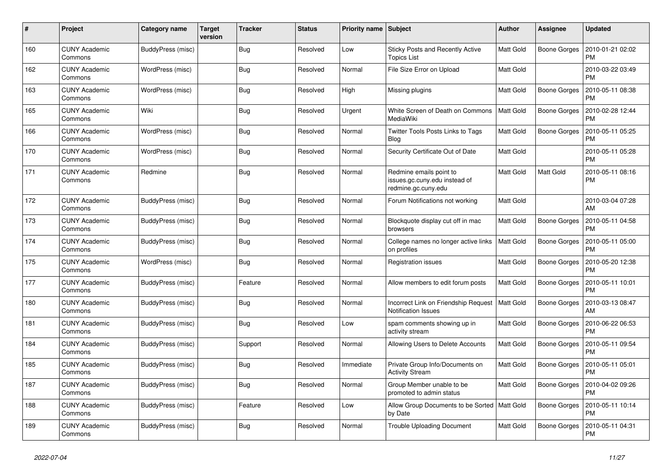| #   | Project                         | Category name            | <b>Target</b><br>version | <b>Tracker</b> | <b>Status</b> | <b>Priority name</b> | <b>Subject</b>                                                                  | <b>Author</b>    | <b>Assignee</b>     | <b>Updated</b>                |
|-----|---------------------------------|--------------------------|--------------------------|----------------|---------------|----------------------|---------------------------------------------------------------------------------|------------------|---------------------|-------------------------------|
| 160 | <b>CUNY Academic</b><br>Commons | <b>BuddyPress (misc)</b> |                          | <b>Bug</b>     | Resolved      | Low                  | <b>Sticky Posts and Recently Active</b><br><b>Topics List</b>                   | <b>Matt Gold</b> | <b>Boone Gorges</b> | 2010-01-21 02:02<br><b>PM</b> |
| 162 | <b>CUNY Academic</b><br>Commons | WordPress (misc)         |                          | <b>Bug</b>     | Resolved      | Normal               | File Size Error on Upload                                                       | Matt Gold        |                     | 2010-03-22 03:49<br><b>PM</b> |
| 163 | <b>CUNY Academic</b><br>Commons | WordPress (misc)         |                          | Bug            | Resolved      | High                 | Missing plugins                                                                 | Matt Gold        | Boone Gorges        | 2010-05-11 08:38<br>PM        |
| 165 | <b>CUNY Academic</b><br>Commons | Wiki                     |                          | Bug            | Resolved      | Urgent               | White Screen of Death on Commons<br>MediaWiki                                   | <b>Matt Gold</b> | Boone Gorges        | 2010-02-28 12:44<br><b>PM</b> |
| 166 | <b>CUNY Academic</b><br>Commons | WordPress (misc)         |                          | <b>Bug</b>     | Resolved      | Normal               | Twitter Tools Posts Links to Tags<br>Blog                                       | Matt Gold        | Boone Gorges        | 2010-05-11 05:25<br><b>PM</b> |
| 170 | <b>CUNY Academic</b><br>Commons | WordPress (misc)         |                          | <b>Bug</b>     | Resolved      | Normal               | Security Certificate Out of Date                                                | Matt Gold        |                     | 2010-05-11 05:28<br><b>PM</b> |
| 171 | <b>CUNY Academic</b><br>Commons | Redmine                  |                          | Bug            | Resolved      | Normal               | Redmine emails point to<br>issues.gc.cuny.edu instead of<br>redmine.gc.cuny.edu | <b>Matt Gold</b> | <b>Matt Gold</b>    | 2010-05-11 08:16<br><b>PM</b> |
| 172 | <b>CUNY Academic</b><br>Commons | BuddyPress (misc)        |                          | <b>Bug</b>     | Resolved      | Normal               | Forum Notifications not working                                                 | Matt Gold        |                     | 2010-03-04 07:28<br>AM        |
| 173 | <b>CUNY Academic</b><br>Commons | BuddyPress (misc)        |                          | <b>Bug</b>     | Resolved      | Normal               | Blockquote display cut off in mac<br>browsers                                   | Matt Gold        | Boone Gorges        | 2010-05-11 04:58<br><b>PM</b> |
| 174 | <b>CUNY Academic</b><br>Commons | BuddyPress (misc)        |                          | Bug            | Resolved      | Normal               | College names no longer active links<br>on profiles                             | <b>Matt Gold</b> | Boone Gorges        | 2010-05-11 05:00<br><b>PM</b> |
| 175 | <b>CUNY Academic</b><br>Commons | WordPress (misc)         |                          | Bug            | Resolved      | Normal               | <b>Registration issues</b>                                                      | Matt Gold        | <b>Boone Gorges</b> | 2010-05-20 12:38<br><b>PM</b> |
| 177 | <b>CUNY Academic</b><br>Commons | BuddyPress (misc)        |                          | Feature        | Resolved      | Normal               | Allow members to edit forum posts                                               | <b>Matt Gold</b> | Boone Gorges        | 2010-05-11 10:01<br><b>PM</b> |
| 180 | <b>CUNY Academic</b><br>Commons | BuddyPress (misc)        |                          | Bug            | Resolved      | Normal               | Incorrect Link on Friendship Request<br><b>Notification Issues</b>              | Matt Gold        | Boone Gorges        | 2010-03-13 08:47<br>AM        |
| 181 | <b>CUNY Academic</b><br>Commons | BuddyPress (misc)        |                          | Bug            | Resolved      | Low                  | spam comments showing up in<br>activity stream                                  | <b>Matt Gold</b> | Boone Gorges        | 2010-06-22 06:53<br><b>PM</b> |
| 184 | <b>CUNY Academic</b><br>Commons | BuddyPress (misc)        |                          | Support        | Resolved      | Normal               | Allowing Users to Delete Accounts                                               | Matt Gold        | Boone Gorges        | 2010-05-11 09:54<br>PM        |
| 185 | <b>CUNY Academic</b><br>Commons | BuddyPress (misc)        |                          | <b>Bug</b>     | Resolved      | Immediate            | Private Group Info/Documents on<br><b>Activity Stream</b>                       | Matt Gold        | <b>Boone Gorges</b> | 2010-05-11 05:01<br><b>PM</b> |
| 187 | <b>CUNY Academic</b><br>Commons | BuddyPress (misc)        |                          | Bug            | Resolved      | Normal               | Group Member unable to be<br>promoted to admin status                           | <b>Matt Gold</b> | Boone Gorges        | 2010-04-02 09:26<br><b>PM</b> |
| 188 | <b>CUNY Academic</b><br>Commons | BuddyPress (misc)        |                          | Feature        | Resolved      | Low                  | Allow Group Documents to be Sorted<br>by Date                                   | <b>Matt Gold</b> | Boone Gorges        | 2010-05-11 10:14<br><b>PM</b> |
| 189 | <b>CUNY Academic</b><br>Commons | BuddyPress (misc)        |                          | <b>Bug</b>     | Resolved      | Normal               | Trouble Uploading Document                                                      | Matt Gold        | Boone Gorges        | 2010-05-11 04:31<br><b>PM</b> |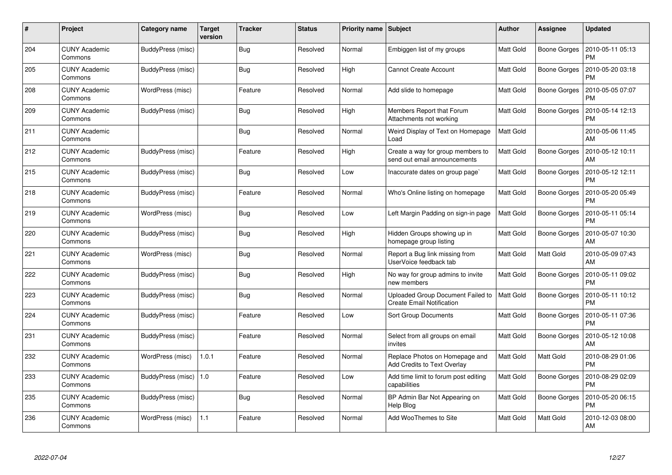| #   | <b>Project</b>                  | Category name           | Target<br>version | <b>Tracker</b> | <b>Status</b> | <b>Priority name</b> | <b>Subject</b>                                                        | <b>Author</b>    | Assignee            | Updated                       |
|-----|---------------------------------|-------------------------|-------------------|----------------|---------------|----------------------|-----------------------------------------------------------------------|------------------|---------------------|-------------------------------|
| 204 | <b>CUNY Academic</b><br>Commons | BuddyPress (misc)       |                   | Bug            | Resolved      | Normal               | Embiggen list of my groups                                            | <b>Matt Gold</b> | Boone Gorges        | 2010-05-11 05:13<br><b>PM</b> |
| 205 | <b>CUNY Academic</b><br>Commons | BuddyPress (misc)       |                   | Bug            | Resolved      | High                 | <b>Cannot Create Account</b>                                          | <b>Matt Gold</b> | <b>Boone Gorges</b> | 2010-05-20 03:18<br><b>PM</b> |
| 208 | <b>CUNY Academic</b><br>Commons | WordPress (misc)        |                   | Feature        | Resolved      | Normal               | Add slide to homepage                                                 | <b>Matt Gold</b> | <b>Boone Gorges</b> | 2010-05-05 07:07<br><b>PM</b> |
| 209 | <b>CUNY Academic</b><br>Commons | BuddyPress (misc)       |                   | <b>Bug</b>     | Resolved      | High                 | Members Report that Forum<br>Attachments not working                  | <b>Matt Gold</b> | Boone Gorges        | 2010-05-14 12:13<br><b>PM</b> |
| 211 | <b>CUNY Academic</b><br>Commons |                         |                   | <b>Bug</b>     | Resolved      | Normal               | Weird Display of Text on Homepage<br>Load                             | Matt Gold        |                     | 2010-05-06 11:45<br>AM        |
| 212 | <b>CUNY Academic</b><br>Commons | BuddyPress (misc)       |                   | Feature        | Resolved      | High                 | Create a way for group members to<br>send out email announcements     | <b>Matt Gold</b> | Boone Gorges        | 2010-05-12 10:11<br>AM        |
| 215 | <b>CUNY Academic</b><br>Commons | BuddyPress (misc)       |                   | Bug            | Resolved      | Low                  | Inaccurate dates on group page`                                       | <b>Matt Gold</b> | Boone Gorges        | 2010-05-12 12:11<br><b>PM</b> |
| 218 | <b>CUNY Academic</b><br>Commons | BuddyPress (misc)       |                   | Feature        | Resolved      | Normal               | Who's Online listing on homepage                                      | Matt Gold        | Boone Gorges        | 2010-05-20 05:49<br><b>PM</b> |
| 219 | <b>CUNY Academic</b><br>Commons | WordPress (misc)        |                   | <b>Bug</b>     | Resolved      | Low                  | Left Margin Padding on sign-in page                                   | Matt Gold        | Boone Gorges        | 2010-05-11 05:14<br><b>PM</b> |
| 220 | <b>CUNY Academic</b><br>Commons | BuddyPress (misc)       |                   | Bug            | Resolved      | High                 | Hidden Groups showing up in<br>homepage group listing                 | Matt Gold        | <b>Boone Gorges</b> | 2010-05-07 10:30<br>AM        |
| 221 | <b>CUNY Academic</b><br>Commons | WordPress (misc)        |                   | Bug            | Resolved      | Normal               | Report a Bug link missing from<br>UserVoice feedback tab              | <b>Matt Gold</b> | Matt Gold           | 2010-05-09 07:43<br>AM        |
| 222 | <b>CUNY Academic</b><br>Commons | BuddyPress (misc)       |                   | <b>Bug</b>     | Resolved      | High                 | No way for group admins to invite<br>new members                      | Matt Gold        | <b>Boone Gorges</b> | 2010-05-11 09:02<br><b>PM</b> |
| 223 | <b>CUNY Academic</b><br>Commons | BuddyPress (misc)       |                   | <b>Bug</b>     | Resolved      | Normal               | Uploaded Group Document Failed to<br><b>Create Email Notification</b> | <b>Matt Gold</b> | Boone Gorges        | 2010-05-11 10:12<br><b>PM</b> |
| 224 | <b>CUNY Academic</b><br>Commons | BuddyPress (misc)       |                   | Feature        | Resolved      | Low                  | Sort Group Documents                                                  | Matt Gold        | Boone Gorges        | 2010-05-11 07:36<br><b>PM</b> |
| 231 | <b>CUNY Academic</b><br>Commons | BuddyPress (misc)       |                   | Feature        | Resolved      | Normal               | Select from all groups on email<br>invites                            | <b>Matt Gold</b> | Boone Gorges        | 2010-05-12 10:08<br>AM        |
| 232 | <b>CUNY Academic</b><br>Commons | WordPress (misc)        | 1.0.1             | Feature        | Resolved      | Normal               | Replace Photos on Homepage and<br>Add Credits to Text Overlay         | <b>Matt Gold</b> | Matt Gold           | 2010-08-29 01:06<br><b>PM</b> |
| 233 | <b>CUNY Academic</b><br>Commons | BuddyPress (misc)   1.0 |                   | Feature        | Resolved      | Low                  | Add time limit to forum post editing<br>capabilities                  | Matt Gold        | Boone Gorges        | 2010-08-29 02:09<br><b>PM</b> |
| 235 | <b>CUNY Academic</b><br>Commons | BuddyPress (misc)       |                   | Bug            | Resolved      | Normal               | BP Admin Bar Not Appearing on<br>Help Blog                            | Matt Gold        | <b>Boone Gorges</b> | 2010-05-20 06:15<br><b>PM</b> |
| 236 | <b>CUNY Academic</b><br>Commons | WordPress (misc)        | 1.1               | Feature        | Resolved      | Normal               | Add WooThemes to Site                                                 | <b>Matt Gold</b> | Matt Gold           | 2010-12-03 08:00<br>AM        |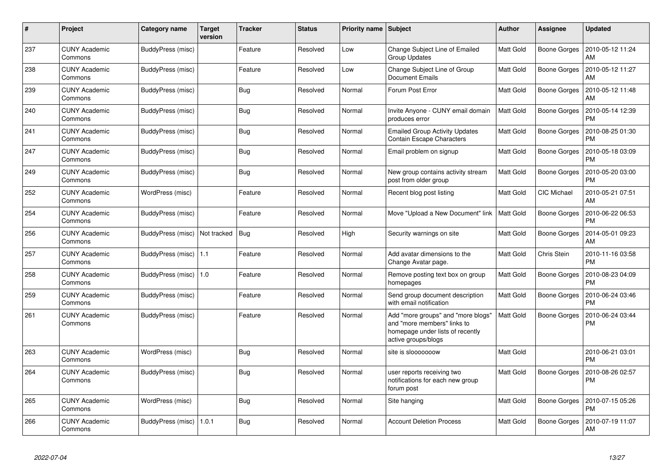| #   | Project                         | Category name     | Target<br>version | <b>Tracker</b> | <b>Status</b> | <b>Priority name</b> | <b>Subject</b>                                                                                                               | Author           | Assignee            | Updated                       |
|-----|---------------------------------|-------------------|-------------------|----------------|---------------|----------------------|------------------------------------------------------------------------------------------------------------------------------|------------------|---------------------|-------------------------------|
| 237 | <b>CUNY Academic</b><br>Commons | BuddyPress (misc) |                   | Feature        | Resolved      | Low                  | Change Subject Line of Emailed<br><b>Group Updates</b>                                                                       | <b>Matt Gold</b> | Boone Gorges        | 2010-05-12 11:24<br>AM        |
| 238 | <b>CUNY Academic</b><br>Commons | BuddyPress (misc) |                   | Feature        | Resolved      | Low                  | Change Subject Line of Group<br><b>Document Emails</b>                                                                       | <b>Matt Gold</b> | <b>Boone Gorges</b> | 2010-05-12 11:27<br>AM        |
| 239 | <b>CUNY Academic</b><br>Commons | BuddyPress (misc) |                   | <b>Bug</b>     | Resolved      | Normal               | Forum Post Error                                                                                                             | Matt Gold        | <b>Boone Gorges</b> | 2010-05-12 11:48<br>AM        |
| 240 | <b>CUNY Academic</b><br>Commons | BuddyPress (misc) |                   | <b>Bug</b>     | Resolved      | Normal               | Invite Anyone - CUNY email domain<br>produces error                                                                          | Matt Gold        | Boone Gorges        | 2010-05-14 12:39<br><b>PM</b> |
| 241 | <b>CUNY Academic</b><br>Commons | BuddyPress (misc) |                   | <b>Bug</b>     | Resolved      | Normal               | <b>Emailed Group Activity Updates</b><br><b>Contain Escape Characters</b>                                                    | Matt Gold        | Boone Gorges        | 2010-08-25 01:30<br><b>PM</b> |
| 247 | <b>CUNY Academic</b><br>Commons | BuddyPress (misc) |                   | Bug            | Resolved      | Normal               | Email problem on signup                                                                                                      | <b>Matt Gold</b> | Boone Gorges        | 2010-05-18 03:09<br><b>PM</b> |
| 249 | <b>CUNY Academic</b><br>Commons | BuddyPress (misc) |                   | Bug            | Resolved      | Normal               | New group contains activity stream<br>post from older group                                                                  | <b>Matt Gold</b> | Boone Gorges        | 2010-05-20 03:00<br><b>PM</b> |
| 252 | <b>CUNY Academic</b><br>Commons | WordPress (misc)  |                   | Feature        | Resolved      | Normal               | Recent blog post listing                                                                                                     | Matt Gold        | <b>CIC Michael</b>  | 2010-05-21 07:51<br>AM        |
| 254 | <b>CUNY Academic</b><br>Commons | BuddyPress (misc) |                   | Feature        | Resolved      | Normal               | Move "Upload a New Document" link                                                                                            | Matt Gold        | <b>Boone Gorges</b> | 2010-06-22 06:53<br><b>PM</b> |
| 256 | <b>CUNY Academic</b><br>Commons | BuddyPress (misc) | Not tracked       | <b>Bug</b>     | Resolved      | High                 | Security warnings on site                                                                                                    | <b>Matt Gold</b> | <b>Boone Gorges</b> | 2014-05-01 09:23<br>AM        |
| 257 | <b>CUNY Academic</b><br>Commons | BuddyPress (misc) | 1.1               | Feature        | Resolved      | Normal               | Add avatar dimensions to the<br>Change Avatar page.                                                                          | Matt Gold        | Chris Stein         | 2010-11-16 03:58<br><b>PM</b> |
| 258 | <b>CUNY Academic</b><br>Commons | BuddyPress (misc) | $\vert$ 1.0       | Feature        | Resolved      | Normal               | Remove posting text box on group<br>homepages                                                                                | Matt Gold        | Boone Gorges        | 2010-08-23 04:09<br><b>PM</b> |
| 259 | <b>CUNY Academic</b><br>Commons | BuddyPress (misc) |                   | Feature        | Resolved      | Normal               | Send group document description<br>with email notification                                                                   | <b>Matt Gold</b> | Boone Gorges        | 2010-06-24 03:46<br><b>PM</b> |
| 261 | <b>CUNY Academic</b><br>Commons | BuddyPress (misc) |                   | Feature        | Resolved      | Normal               | Add "more groups" and "more blogs"<br>and "more members" links to<br>homepage under lists of recently<br>active groups/blogs | Matt Gold        | Boone Gorges        | 2010-06-24 03:44<br><b>PM</b> |
| 263 | <b>CUNY Academic</b><br>Commons | WordPress (misc)  |                   | <b>Bug</b>     | Resolved      | Normal               | site is slooooooow                                                                                                           | Matt Gold        |                     | 2010-06-21 03:01<br><b>PM</b> |
| 264 | <b>CUNY Academic</b><br>Commons | BuddyPress (misc) |                   | <b>Bug</b>     | Resolved      | Normal               | user reports receiving two<br>notifications for each new group<br>forum post                                                 | <b>Matt Gold</b> | <b>Boone Gorges</b> | 2010-08-26 02:57<br><b>PM</b> |
| 265 | <b>CUNY Academic</b><br>Commons | WordPress (misc)  |                   | <b>Bug</b>     | Resolved      | Normal               | Site hanging                                                                                                                 | Matt Gold        | <b>Boone Gorges</b> | 2010-07-15 05:26<br><b>PM</b> |
| 266 | <b>CUNY Academic</b><br>Commons | BuddyPress (misc) | 1.0.1             | <b>Bug</b>     | Resolved      | Normal               | <b>Account Deletion Process</b>                                                                                              | <b>Matt Gold</b> | <b>Boone Gorges</b> | 2010-07-19 11:07<br>AM        |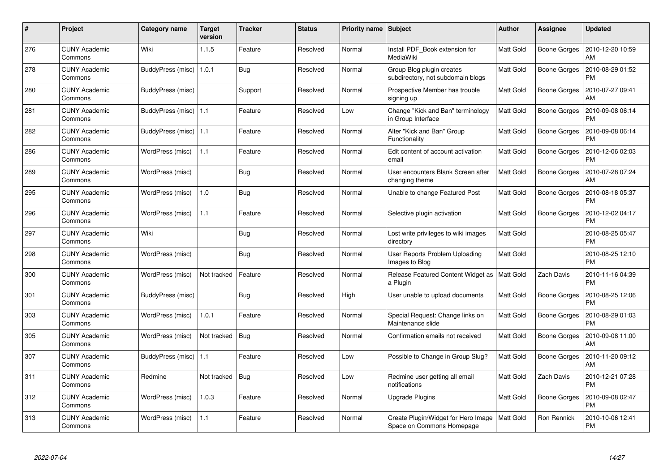| $\#$ | Project                         | Category name             | <b>Target</b><br>version | <b>Tracker</b> | <b>Status</b> | <b>Priority name</b> | <b>Subject</b>                                                   | <b>Author</b>    | Assignee            | <b>Updated</b>                |
|------|---------------------------------|---------------------------|--------------------------|----------------|---------------|----------------------|------------------------------------------------------------------|------------------|---------------------|-------------------------------|
| 276  | <b>CUNY Academic</b><br>Commons | Wiki                      | 1.1.5                    | Feature        | Resolved      | Normal               | Install PDF Book extension for<br>MediaWiki                      | <b>Matt Gold</b> | <b>Boone Gorges</b> | 2010-12-20 10:59<br>AM        |
| 278  | <b>CUNY Academic</b><br>Commons | BuddyPress (misc)   1.0.1 |                          | Bug            | Resolved      | Normal               | Group Blog plugin creates<br>subdirectory, not subdomain blogs   | <b>Matt Gold</b> | Boone Gorges        | 2010-08-29 01:52<br><b>PM</b> |
| 280  | <b>CUNY Academic</b><br>Commons | BuddyPress (misc)         |                          | Support        | Resolved      | Normal               | Prospective Member has trouble<br>signing up                     | Matt Gold        | <b>Boone Gorges</b> | 2010-07-27 09:41<br>AM        |
| 281  | <b>CUNY Academic</b><br>Commons | BuddyPress (misc)   1.1   |                          | Feature        | Resolved      | Low                  | Change "Kick and Ban" terminology<br>in Group Interface          | Matt Gold        | Boone Gorges        | 2010-09-08 06:14<br>PM        |
| 282  | <b>CUNY Academic</b><br>Commons | BuddyPress (misc)   1.1   |                          | Feature        | Resolved      | Normal               | Alter "Kick and Ban" Group<br>Functionality                      | <b>Matt Gold</b> | Boone Gorges        | 2010-09-08 06:14<br><b>PM</b> |
| 286  | <b>CUNY Academic</b><br>Commons | WordPress (misc)          | 1.1                      | Feature        | Resolved      | Normal               | Edit content of account activation<br>email                      | <b>Matt Gold</b> | Boone Gorges        | 2010-12-06 02:03<br><b>PM</b> |
| 289  | <b>CUNY Academic</b><br>Commons | WordPress (misc)          |                          | Bug            | Resolved      | Normal               | User encounters Blank Screen after<br>changing theme             | Matt Gold        | Boone Gorges        | 2010-07-28 07:24<br>AM        |
| 295  | <b>CUNY Academic</b><br>Commons | WordPress (misc)          | 1.0                      | Bug            | Resolved      | Normal               | Unable to change Featured Post                                   | Matt Gold        | Boone Gorges        | 2010-08-18 05:37<br><b>PM</b> |
| 296  | <b>CUNY Academic</b><br>Commons | WordPress (misc)          | 1.1                      | Feature        | Resolved      | Normal               | Selective plugin activation                                      | <b>Matt Gold</b> | Boone Gorges        | 2010-12-02 04:17<br><b>PM</b> |
| 297  | <b>CUNY Academic</b><br>Commons | Wiki                      |                          | <b>Bug</b>     | Resolved      | Normal               | Lost write privileges to wiki images<br>directory                | <b>Matt Gold</b> |                     | 2010-08-25 05:47<br><b>PM</b> |
| 298  | <b>CUNY Academic</b><br>Commons | WordPress (misc)          |                          | Bug            | Resolved      | Normal               | User Reports Problem Uploading<br>Images to Blog                 | Matt Gold        |                     | 2010-08-25 12:10<br><b>PM</b> |
| 300  | <b>CUNY Academic</b><br>Commons | WordPress (misc)          | Not tracked              | Feature        | Resolved      | Normal               | Release Featured Content Widget as<br>a Plugin                   | Matt Gold        | Zach Davis          | 2010-11-16 04:39<br><b>PM</b> |
| 301  | <b>CUNY Academic</b><br>Commons | BuddyPress (misc)         |                          | <b>Bug</b>     | Resolved      | High                 | User unable to upload documents                                  | Matt Gold        | <b>Boone Gorges</b> | 2010-08-25 12:06<br><b>PM</b> |
| 303  | <b>CUNY Academic</b><br>Commons | WordPress (misc)          | 1.0.1                    | Feature        | Resolved      | Normal               | Special Request: Change links on<br>Maintenance slide            | Matt Gold        | <b>Boone Gorges</b> | 2010-08-29 01:03<br><b>PM</b> |
| 305  | <b>CUNY Academic</b><br>Commons | WordPress (misc)          | Not tracked              | <b>Bug</b>     | Resolved      | Normal               | Confirmation emails not received                                 | Matt Gold        | Boone Gorges        | 2010-09-08 11:00<br>AM        |
| 307  | <b>CUNY Academic</b><br>Commons | BuddyPress (misc)   1.1   |                          | Feature        | Resolved      | Low                  | Possible to Change in Group Slug?                                | Matt Gold        | Boone Gorges        | 2010-11-20 09:12<br>AM        |
| 311  | <b>CUNY Academic</b><br>Commons | Redmine                   | Not tracked              | <b>Bug</b>     | Resolved      | Low                  | Redmine user getting all email<br>notifications                  | <b>Matt Gold</b> | <b>Zach Davis</b>   | 2010-12-21 07:28<br><b>PM</b> |
| 312  | <b>CUNY Academic</b><br>Commons | WordPress (misc)          | 1.0.3                    | Feature        | Resolved      | Normal               | Upgrade Plugins                                                  | <b>Matt Gold</b> | <b>Boone Gorges</b> | 2010-09-08 02:47<br><b>PM</b> |
| 313  | <b>CUNY Academic</b><br>Commons | WordPress (misc)          | 1.1                      | Feature        | Resolved      | Normal               | Create Plugin/Widget for Hero Image<br>Space on Commons Homepage | <b>Matt Gold</b> | Ron Rennick         | 2010-10-06 12:41<br>PM        |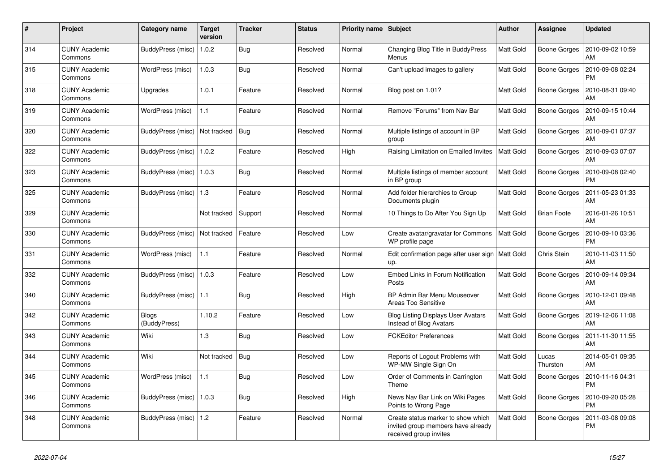| #   | Project                         | Category name            | <b>Target</b><br>version | <b>Tracker</b> | <b>Status</b> | <b>Priority name</b> | <b>Subject</b>                                                                                     | <b>Author</b>    | <b>Assignee</b>     | <b>Updated</b>                |
|-----|---------------------------------|--------------------------|--------------------------|----------------|---------------|----------------------|----------------------------------------------------------------------------------------------------|------------------|---------------------|-------------------------------|
| 314 | <b>CUNY Academic</b><br>Commons | BuddyPress (misc)        | 1.0.2                    | <b>Bug</b>     | Resolved      | Normal               | Changing Blog Title in BuddyPress<br>Menus                                                         | <b>Matt Gold</b> | Boone Gorges        | 2010-09-02 10:59<br>AM        |
| 315 | <b>CUNY Academic</b><br>Commons | WordPress (misc)         | 1.0.3                    | Bug            | Resolved      | Normal               | Can't upload images to gallery                                                                     | <b>Matt Gold</b> | Boone Gorges        | 2010-09-08 02:24<br><b>PM</b> |
| 318 | <b>CUNY Academic</b><br>Commons | Upgrades                 | 1.0.1                    | Feature        | Resolved      | Normal               | Blog post on 1.01?                                                                                 | Matt Gold        | Boone Gorges        | 2010-08-31 09:40<br>AM        |
| 319 | <b>CUNY Academic</b><br>Commons | WordPress (misc)         | 1.1                      | Feature        | Resolved      | Normal               | Remove "Forums" from Nav Bar                                                                       | <b>Matt Gold</b> | Boone Gorges        | 2010-09-15 10:44<br>AM        |
| 320 | <b>CUNY Academic</b><br>Commons | <b>BuddyPress (misc)</b> | Not tracked              | Bug            | Resolved      | Normal               | Multiple listings of account in BP<br>group                                                        | Matt Gold        | Boone Gorges        | 2010-09-01 07:37<br>AM        |
| 322 | <b>CUNY Academic</b><br>Commons | BuddyPress (misc)        | 1.0.2                    | Feature        | Resolved      | High                 | Raising Limitation on Emailed Invites                                                              | <b>Matt Gold</b> | Boone Gorges        | 2010-09-03 07:07<br>AM        |
| 323 | <b>CUNY Academic</b><br>Commons | BuddyPress (misc)        | 1.0.3                    | Bug            | Resolved      | Normal               | Multiple listings of member account<br>in BP group                                                 | <b>Matt Gold</b> | Boone Gorges        | 2010-09-08 02:40<br><b>PM</b> |
| 325 | <b>CUNY Academic</b><br>Commons | BuddyPress (misc)        | $\vert$ 1.3              | Feature        | Resolved      | Normal               | Add folder hierarchies to Group<br>Documents plugin                                                | <b>Matt Gold</b> | Boone Gorges        | 2011-05-23 01:33<br>AM        |
| 329 | <b>CUNY Academic</b><br>Commons |                          | Not tracked              | Support        | Resolved      | Normal               | 10 Things to Do After You Sign Up                                                                  | Matt Gold        | <b>Brian Foote</b>  | 2016-01-26 10:51<br>AM        |
| 330 | <b>CUNY Academic</b><br>Commons | BuddyPress (misc)        | Not tracked              | Feature        | Resolved      | Low                  | Create avatar/gravatar for Commons<br>WP profile page                                              | <b>Matt Gold</b> | Boone Gorges        | 2010-09-10 03:36<br><b>PM</b> |
| 331 | <b>CUNY Academic</b><br>Commons | WordPress (misc)         | 1.1                      | Feature        | Resolved      | Normal               | Edit confirmation page after user sign   Matt Gold<br>up.                                          |                  | Chris Stein         | 2010-11-03 11:50<br>AM        |
| 332 | <b>CUNY Academic</b><br>Commons | BuddyPress (misc)        | 1.0.3                    | Feature        | Resolved      | Low                  | Embed Links in Forum Notification<br>Posts                                                         | <b>Matt Gold</b> | Boone Gorges        | 2010-09-14 09:34<br>AM        |
| 340 | <b>CUNY Academic</b><br>Commons | BuddyPress (misc)   1.1  |                          | <b>Bug</b>     | Resolved      | High                 | BP Admin Bar Menu Mouseover<br>Areas Too Sensitive                                                 | Matt Gold        | Boone Gorges        | 2010-12-01 09:48<br>AM        |
| 342 | <b>CUNY Academic</b><br>Commons | Blogs<br>(BuddyPress)    | 1.10.2                   | Feature        | Resolved      | Low                  | <b>Blog Listing Displays User Avatars</b><br><b>Instead of Blog Avatars</b>                        | Matt Gold        | Boone Gorges        | 2019-12-06 11:08<br>AM        |
| 343 | <b>CUNY Academic</b><br>Commons | Wiki                     | 1.3                      | Bug            | Resolved      | Low                  | <b>FCKEditor Preferences</b>                                                                       | <b>Matt Gold</b> | <b>Boone Gorges</b> | 2011-11-30 11:55<br>AM        |
| 344 | <b>CUNY Academic</b><br>Commons | Wiki                     | Not tracked              | Bug            | Resolved      | Low                  | Reports of Logout Problems with<br>WP-MW Single Sign On                                            | Matt Gold        | Lucas<br>Thurston   | 2014-05-01 09:35<br>AM        |
| 345 | <b>CUNY Academic</b><br>Commons | WordPress (misc)         | 1.1                      | <b>Bug</b>     | Resolved      | Low                  | Order of Comments in Carrington<br>Theme                                                           | <b>Matt Gold</b> | Boone Gorges        | 2010-11-16 04:31<br><b>PM</b> |
| 346 | <b>CUNY Academic</b><br>Commons | BuddyPress (misc)        | 1.0.3                    | Bug            | Resolved      | High                 | News Nav Bar Link on Wiki Pages<br>Points to Wrong Page                                            | <b>Matt Gold</b> | Boone Gorges        | 2010-09-20 05:28<br><b>PM</b> |
| 348 | <b>CUNY Academic</b><br>Commons | BuddyPress (misc)   1.2  |                          | Feature        | Resolved      | Normal               | Create status marker to show which<br>invited group members have already<br>received group invites | Matt Gold        | Boone Gorges        | 2011-03-08 09:08<br><b>PM</b> |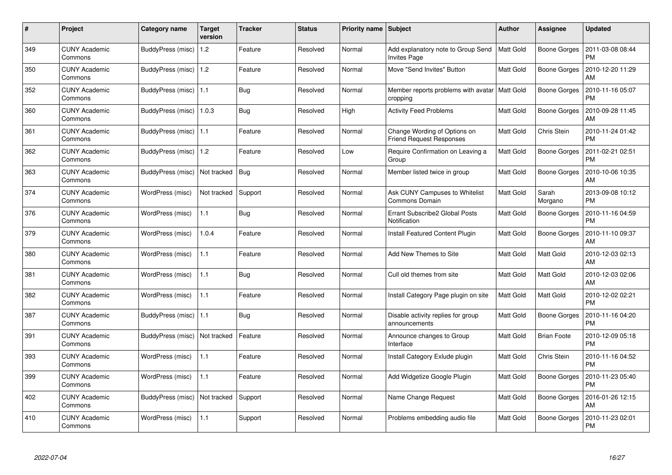| #   | Project                         | Category name            | <b>Target</b><br>version | <b>Tracker</b> | <b>Status</b> | <b>Priority name</b> | <b>Subject</b>                                                  | <b>Author</b>    | <b>Assignee</b>     | <b>Updated</b>                |
|-----|---------------------------------|--------------------------|--------------------------|----------------|---------------|----------------------|-----------------------------------------------------------------|------------------|---------------------|-------------------------------|
| 349 | <b>CUNY Academic</b><br>Commons | BuddyPress (misc)        | 1.2                      | Feature        | Resolved      | Normal               | Add explanatory note to Group Send<br><b>Invites Page</b>       | <b>Matt Gold</b> | <b>Boone Gorges</b> | 2011-03-08 08:44<br><b>PM</b> |
| 350 | <b>CUNY Academic</b><br>Commons | BuddyPress (misc)        | $\vert$ 1.2              | Feature        | Resolved      | Normal               | Move "Send Invites" Button                                      | Matt Gold        | Boone Gorges        | 2010-12-20 11:29<br>AM        |
| 352 | <b>CUNY Academic</b><br>Commons | BuddyPress (misc)        | 1.1                      | Bug            | Resolved      | Normal               | Member reports problems with avatar<br>cropping                 | <b>Matt Gold</b> | Boone Gorges        | 2010-11-16 05:07<br><b>PM</b> |
| 360 | <b>CUNY Academic</b><br>Commons | BuddyPress (misc)        | 11.0.3                   | <b>Bug</b>     | Resolved      | High                 | <b>Activity Feed Problems</b>                                   | <b>Matt Gold</b> | Boone Gorges        | 2010-09-28 11:45<br>AM        |
| 361 | <b>CUNY Academic</b><br>Commons | BuddyPress (misc)   1.1  |                          | Feature        | Resolved      | Normal               | Change Wording of Options on<br><b>Friend Request Responses</b> | <b>Matt Gold</b> | Chris Stein         | 2010-11-24 01:42<br><b>PM</b> |
| 362 | <b>CUNY Academic</b><br>Commons | BuddyPress (misc)        | $\vert$ 1.2              | Feature        | Resolved      | Low                  | Require Confirmation on Leaving a<br>Group                      | Matt Gold        | Boone Gorges        | 2011-02-21 02:51<br><b>PM</b> |
| 363 | <b>CUNY Academic</b><br>Commons | BuddyPress (misc)        | Not tracked              | Bug            | Resolved      | Normal               | Member listed twice in group                                    | Matt Gold        | Boone Gorges        | 2010-10-06 10:35<br>AM        |
| 374 | <b>CUNY Academic</b><br>Commons | WordPress (misc)         | Not tracked              | Support        | Resolved      | Normal               | <b>Ask CUNY Campuses to Whitelist</b><br>Commons Domain         | Matt Gold        | Sarah<br>Morgano    | 2013-09-08 10:12<br><b>PM</b> |
| 376 | <b>CUNY Academic</b><br>Commons | WordPress (misc)         | 1.1                      | <b>Bug</b>     | Resolved      | Normal               | Errant Subscribe2 Global Posts<br>Notification                  | <b>Matt Gold</b> | <b>Boone Gorges</b> | 2010-11-16 04:59<br><b>PM</b> |
| 379 | <b>CUNY Academic</b><br>Commons | WordPress (misc)         | 1.0.4                    | Feature        | Resolved      | Normal               | Install Featured Content Plugin                                 | Matt Gold        | <b>Boone Gorges</b> | 2010-11-10 09:37<br>AM        |
| 380 | <b>CUNY Academic</b><br>Commons | WordPress (misc)         | 1.1                      | Feature        | Resolved      | Normal               | Add New Themes to Site                                          | Matt Gold        | Matt Gold           | 2010-12-03 02:13<br>AM        |
| 381 | <b>CUNY Academic</b><br>Commons | WordPress (misc)         | 1.1                      | Bug            | Resolved      | Normal               | Cull old themes from site                                       | <b>Matt Gold</b> | Matt Gold           | 2010-12-03 02:06<br>AM        |
| 382 | <b>CUNY Academic</b><br>Commons | WordPress (misc)         | 1.1                      | Feature        | Resolved      | Normal               | Install Category Page plugin on site                            | Matt Gold        | Matt Gold           | 2010-12-02 02:21<br><b>PM</b> |
| 387 | <b>CUNY Academic</b><br>Commons | <b>BuddyPress (misc)</b> | 1.1                      | Bug            | Resolved      | Normal               | Disable activity replies for group<br>announcements             | Matt Gold        | Boone Gorges        | 2010-11-16 04:20<br><b>PM</b> |
| 391 | <b>CUNY Academic</b><br>Commons | BuddyPress (misc)        | Not tracked              | Feature        | Resolved      | Normal               | Announce changes to Group<br>Interface                          | <b>Matt Gold</b> | <b>Brian Foote</b>  | 2010-12-09 05:18<br><b>PM</b> |
| 393 | <b>CUNY Academic</b><br>Commons | WordPress (misc)         | 1.1                      | Feature        | Resolved      | Normal               | Install Category Exlude plugin                                  | <b>Matt Gold</b> | Chris Stein         | 2010-11-16 04:52<br><b>PM</b> |
| 399 | <b>CUNY Academic</b><br>Commons | WordPress (misc)         | 1.1                      | Feature        | Resolved      | Normal               | Add Widgetize Google Plugin                                     | Matt Gold        | Boone Gorges        | 2010-11-23 05:40<br><b>PM</b> |
| 402 | <b>CUNY Academic</b><br>Commons | <b>BuddyPress (misc)</b> | Not tracked              | Support        | Resolved      | Normal               | Name Change Request                                             | Matt Gold        | Boone Gorges        | 2016-01-26 12:15<br>AM        |
| 410 | CUNY Academic<br>Commons        | WordPress (misc)         | 1.1                      | Support        | Resolved      | Normal               | Problems embedding audio file                                   | <b>Matt Gold</b> | Boone Gorges        | 2010-11-23 02:01<br><b>PM</b> |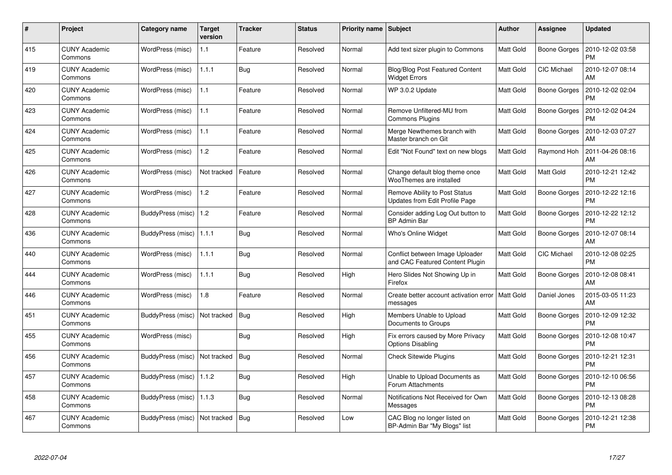| #   | Project                         | Category name     | Target<br>version | <b>Tracker</b> | <b>Status</b> | <b>Priority name</b> | <b>Subject</b>                                                     | Author           | Assignee            | <b>Updated</b>                |
|-----|---------------------------------|-------------------|-------------------|----------------|---------------|----------------------|--------------------------------------------------------------------|------------------|---------------------|-------------------------------|
| 415 | <b>CUNY Academic</b><br>Commons | WordPress (misc)  | 1.1               | Feature        | Resolved      | Normal               | Add text sizer plugin to Commons                                   | <b>Matt Gold</b> | <b>Boone Gorges</b> | 2010-12-02 03:58<br><b>PM</b> |
| 419 | <b>CUNY Academic</b><br>Commons | WordPress (misc)  | 1.1.1             | Bug            | Resolved      | Normal               | <b>Blog/Blog Post Featured Content</b><br><b>Widget Errors</b>     | <b>Matt Gold</b> | <b>CIC Michael</b>  | 2010-12-07 08:14<br>AM        |
| 420 | <b>CUNY Academic</b><br>Commons | WordPress (misc)  | 1.1               | Feature        | Resolved      | Normal               | WP 3.0.2 Update                                                    | Matt Gold        | <b>Boone Gorges</b> | 2010-12-02 02:04<br><b>PM</b> |
| 423 | <b>CUNY Academic</b><br>Commons | WordPress (misc)  | 1.1               | Feature        | Resolved      | Normal               | Remove Unfiltered-MU from<br><b>Commons Plugins</b>                | Matt Gold        | Boone Gorges        | 2010-12-02 04:24<br><b>PM</b> |
| 424 | <b>CUNY Academic</b><br>Commons | WordPress (misc)  | 1.1               | Feature        | Resolved      | Normal               | Merge Newthemes branch with<br>Master branch on Git                | Matt Gold        | Boone Gorges        | 2010-12-03 07:27<br>AM        |
| 425 | <b>CUNY Academic</b><br>Commons | WordPress (misc)  | 1.2               | Feature        | Resolved      | Normal               | Edit "Not Found" text on new blogs                                 | Matt Gold        | Raymond Hoh         | 2011-04-26 08:16<br>AM        |
| 426 | <b>CUNY Academic</b><br>Commons | WordPress (misc)  | Not tracked       | Feature        | Resolved      | Normal               | Change default blog theme once<br>WooThemes are installed          | <b>Matt Gold</b> | Matt Gold           | 2010-12-21 12:42<br><b>PM</b> |
| 427 | <b>CUNY Academic</b><br>Commons | WordPress (misc)  | 1.2               | Feature        | Resolved      | Normal               | Remove Ability to Post Status<br>Updates from Edit Profile Page    | <b>Matt Gold</b> | Boone Gorges        | 2010-12-22 12:16<br><b>PM</b> |
| 428 | <b>CUNY Academic</b><br>Commons | BuddyPress (misc) | 1.2               | Feature        | Resolved      | Normal               | Consider adding Log Out button to<br><b>BP Admin Bar</b>           | <b>Matt Gold</b> | Boone Gorges        | 2010-12-22 12:12<br><b>PM</b> |
| 436 | <b>CUNY Academic</b><br>Commons | BuddyPress (misc) | 1.1.1             | Bug            | Resolved      | Normal               | Who's Online Widget                                                | Matt Gold        | <b>Boone Gorges</b> | 2010-12-07 08:14<br>AM        |
| 440 | <b>CUNY Academic</b><br>Commons | WordPress (misc)  | 1.1.1             | <b>Bug</b>     | Resolved      | Normal               | Conflict between Image Uploader<br>and CAC Featured Content Plugin | <b>Matt Gold</b> | CIC Michael         | 2010-12-08 02:25<br><b>PM</b> |
| 444 | <b>CUNY Academic</b><br>Commons | WordPress (misc)  | 1.1.1             | Bug            | Resolved      | High                 | Hero Slides Not Showing Up in<br>Firefox                           | Matt Gold        | <b>Boone Gorges</b> | 2010-12-08 08:41<br>AM        |
| 446 | <b>CUNY Academic</b><br>Commons | WordPress (misc)  | 1.8               | Feature        | Resolved      | Normal               | Create better account activation error<br>messages                 | <b>Matt Gold</b> | Daniel Jones        | 2015-03-05 11:23<br>AM        |
| 451 | <b>CUNY Academic</b><br>Commons | BuddyPress (misc) | Not tracked       | <b>Bug</b>     | Resolved      | High                 | Members Unable to Upload<br>Documents to Groups                    | <b>Matt Gold</b> | Boone Gorges        | 2010-12-09 12:32<br><b>PM</b> |
| 455 | <b>CUNY Academic</b><br>Commons | WordPress (misc)  |                   | <b>Bug</b>     | Resolved      | High                 | Fix errors caused by More Privacy<br><b>Options Disabling</b>      | <b>Matt Gold</b> | Boone Gorges        | 2010-12-08 10:47<br><b>PM</b> |
| 456 | <b>CUNY Academic</b><br>Commons | BuddyPress (misc) | Not tracked       | Bug            | Resolved      | Normal               | <b>Check Sitewide Plugins</b>                                      | <b>Matt Gold</b> | Boone Gorges        | 2010-12-21 12:31<br><b>PM</b> |
| 457 | <b>CUNY Academic</b><br>Commons | BuddyPress (misc) | 1.1.2             | Bug            | Resolved      | High                 | Unable to Upload Documents as<br>Forum Attachments                 | <b>Matt Gold</b> | Boone Gorges        | 2010-12-10 06:56<br><b>PM</b> |
| 458 | <b>CUNY Academic</b><br>Commons | BuddyPress (misc) | 1.1.3             | <b>Bug</b>     | Resolved      | Normal               | Notifications Not Received for Own<br>Messages                     | Matt Gold        | <b>Boone Gorges</b> | 2010-12-13 08:28<br><b>PM</b> |
| 467 | <b>CUNY Academic</b><br>Commons | BuddyPress (misc) | Not tracked       | <b>Bug</b>     | Resolved      | Low                  | CAC Blog no longer listed on<br>BP-Admin Bar "My Blogs" list       | <b>Matt Gold</b> | Boone Gorges        | 2010-12-21 12:38<br>PM        |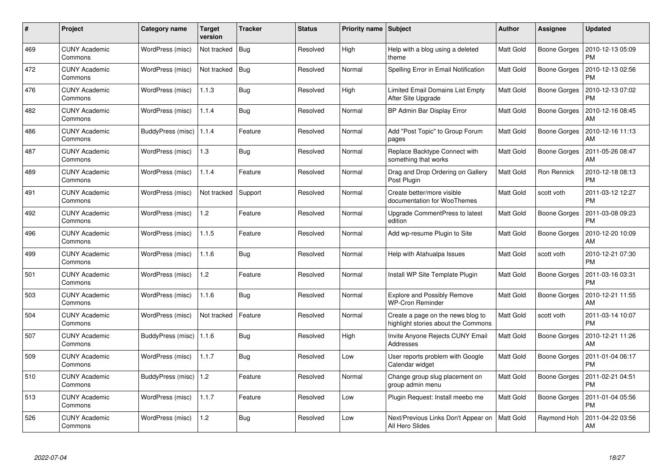| #   | Project                         | Category name            | <b>Target</b><br>version | <b>Tracker</b> | <b>Status</b> | <b>Priority name</b> | <b>Subject</b>                                                           | <b>Author</b>    | Assignee            | <b>Updated</b>                |
|-----|---------------------------------|--------------------------|--------------------------|----------------|---------------|----------------------|--------------------------------------------------------------------------|------------------|---------------------|-------------------------------|
| 469 | <b>CUNY Academic</b><br>Commons | WordPress (misc)         | Not tracked              | <b>Bug</b>     | Resolved      | High                 | Help with a blog using a deleted<br>theme                                | <b>Matt Gold</b> | Boone Gorges        | 2010-12-13 05:09<br><b>PM</b> |
| 472 | <b>CUNY Academic</b><br>Commons | WordPress (misc)         | Not tracked              | Bug            | Resolved      | Normal               | Spelling Error in Email Notification                                     | <b>Matt Gold</b> | Boone Gorges        | 2010-12-13 02:56<br><b>PM</b> |
| 476 | <b>CUNY Academic</b><br>Commons | WordPress (misc)         | 1.1.3                    | Bug            | Resolved      | High                 | <b>Limited Email Domains List Empty</b><br>After Site Upgrade            | <b>Matt Gold</b> | Boone Gorges        | 2010-12-13 07:02<br><b>PM</b> |
| 482 | <b>CUNY Academic</b><br>Commons | WordPress (misc)         | 1.1.4                    | <b>Bug</b>     | Resolved      | Normal               | BP Admin Bar Display Error                                               | Matt Gold        | Boone Gorges        | 2010-12-16 08:45<br>AM        |
| 486 | <b>CUNY Academic</b><br>Commons | <b>BuddyPress (misc)</b> | 1.1.4                    | Feature        | Resolved      | Normal               | Add "Post Topic" to Group Forum<br>pages                                 | <b>Matt Gold</b> | <b>Boone Gorges</b> | 2010-12-16 11:13<br>AM        |
| 487 | <b>CUNY Academic</b><br>Commons | WordPress (misc)         | 1.3                      | Bug            | Resolved      | Normal               | Replace Backtype Connect with<br>something that works                    | Matt Gold        | Boone Gorges        | 2011-05-26 08:47<br>AM        |
| 489 | <b>CUNY Academic</b><br>Commons | WordPress (misc)         | 1.1.4                    | Feature        | Resolved      | Normal               | Drag and Drop Ordering on Gallery<br>Post Plugin                         | <b>Matt Gold</b> | Ron Rennick         | 2010-12-18 08:13<br><b>PM</b> |
| 491 | <b>CUNY Academic</b><br>Commons | WordPress (misc)         | Not tracked              | Support        | Resolved      | Normal               | Create better/more visible<br>documentation for WooThemes                | <b>Matt Gold</b> | scott voth          | 2011-03-12 12:27<br><b>PM</b> |
| 492 | <b>CUNY Academic</b><br>Commons | WordPress (misc)         | 1.2                      | Feature        | Resolved      | Normal               | Upgrade CommentPress to latest<br>edition                                | <b>Matt Gold</b> | <b>Boone Gorges</b> | 2011-03-08 09:23<br><b>PM</b> |
| 496 | <b>CUNY Academic</b><br>Commons | WordPress (misc)         | 1.1.5                    | Feature        | Resolved      | Normal               | Add wp-resume Plugin to Site                                             | <b>Matt Gold</b> | Boone Gorges        | 2010-12-20 10:09<br>AM        |
| 499 | <b>CUNY Academic</b><br>Commons | WordPress (misc)         | 1.1.6                    | <b>Bug</b>     | Resolved      | Normal               | Help with Atahualpa Issues                                               | Matt Gold        | scott voth          | 2010-12-21 07:30<br><b>PM</b> |
| 501 | <b>CUNY Academic</b><br>Commons | WordPress (misc)         | 1.2                      | Feature        | Resolved      | Normal               | Install WP Site Template Plugin                                          | <b>Matt Gold</b> | Boone Gorges        | 2011-03-16 03:31<br><b>PM</b> |
| 503 | <b>CUNY Academic</b><br>Commons | WordPress (misc)         | 1.1.6                    | <b>Bug</b>     | Resolved      | Normal               | <b>Explore and Possibly Remove</b><br><b>WP-Cron Reminder</b>            | <b>Matt Gold</b> | Boone Gorges        | 2010-12-21 11:55<br>AM        |
| 504 | <b>CUNY Academic</b><br>Commons | WordPress (misc)         | Not tracked              | Feature        | Resolved      | Normal               | Create a page on the news blog to<br>highlight stories about the Commons | Matt Gold        | scott voth          | 2011-03-14 10:07<br><b>PM</b> |
| 507 | <b>CUNY Academic</b><br>Commons | BuddyPress (misc)        | 1.1.6                    | <b>Bug</b>     | Resolved      | High                 | Invite Anyone Rejects CUNY Email<br>Addresses                            | Matt Gold        | Boone Gorges        | 2010-12-21 11:26<br>AM        |
| 509 | <b>CUNY Academic</b><br>Commons | WordPress (misc)         | 1.1.7                    | Bug            | Resolved      | Low                  | User reports problem with Google<br>Calendar widget                      | <b>Matt Gold</b> | Boone Gorges        | 2011-01-04 06:17<br><b>PM</b> |
| 510 | <b>CUNY Academic</b><br>Commons | BuddyPress (misc)        | $\vert$ 1.2              | Feature        | Resolved      | Normal               | Change group slug placement on<br>group admin menu                       | <b>Matt Gold</b> | Boone Gorges        | 2011-02-21 04:51<br><b>PM</b> |
| 513 | <b>CUNY Academic</b><br>Commons | WordPress (misc)         | 1.1.7                    | Feature        | Resolved      | Low                  | Plugin Request: Install meebo me                                         | Matt Gold        | Boone Gorges        | 2011-01-04 05:56<br><b>PM</b> |
| 526 | CUNY Academic<br>Commons        | WordPress (misc)         | 1.2                      | <b>Bug</b>     | Resolved      | Low                  | Next/Previous Links Don't Appear on<br>All Hero Slides                   | <b>Matt Gold</b> | Raymond Hoh         | 2011-04-22 03:56<br>AM        |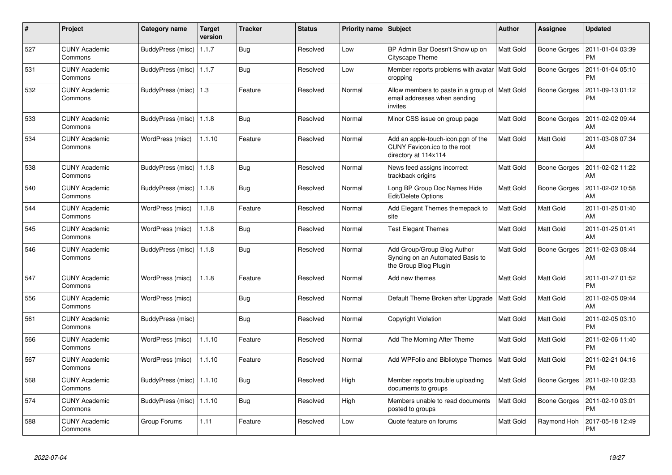| $\pmb{\sharp}$ | Project                         | Category name              | <b>Target</b><br>version | <b>Tracker</b> | <b>Status</b> | <b>Priority name</b> | <b>Subject</b>                                                                             | <b>Author</b>    | Assignee            | <b>Updated</b>                |
|----------------|---------------------------------|----------------------------|--------------------------|----------------|---------------|----------------------|--------------------------------------------------------------------------------------------|------------------|---------------------|-------------------------------|
| 527            | <b>CUNY Academic</b><br>Commons | BuddyPress (misc)   1.1.7  |                          | Bug            | Resolved      | Low                  | BP Admin Bar Doesn't Show up on<br>Cityscape Theme                                         | <b>Matt Gold</b> | Boone Gorges        | 2011-01-04 03:39<br><b>PM</b> |
| 531            | <b>CUNY Academic</b><br>Commons | BuddyPress (misc)   1.1.7  |                          | <b>Bug</b>     | Resolved      | Low                  | Member reports problems with avatar<br>cropping                                            | Matt Gold        | <b>Boone Gorges</b> | 2011-01-04 05:10<br><b>PM</b> |
| 532            | <b>CUNY Academic</b><br>Commons | BuddyPress (misc)          | 1.3                      | Feature        | Resolved      | Normal               | Allow members to paste in a group of<br>email addresses when sending<br>invites            | <b>Matt Gold</b> | <b>Boone Gorges</b> | 2011-09-13 01:12<br><b>PM</b> |
| 533            | <b>CUNY Academic</b><br>Commons | BuddyPress (misc)          | 1.1.8                    | <b>Bug</b>     | Resolved      | Normal               | Minor CSS issue on group page                                                              | Matt Gold        | <b>Boone Gorges</b> | 2011-02-02 09:44<br>AM        |
| 534            | <b>CUNY Academic</b><br>Commons | WordPress (misc)           | 1.1.10                   | Feature        | Resolved      | Normal               | Add an apple-touch-icon.pgn of the<br>CUNY Favicon.ico to the root<br>directory at 114x114 | <b>Matt Gold</b> | Matt Gold           | 2011-03-08 07:34<br>AM        |
| 538            | <b>CUNY Academic</b><br>Commons | BuddyPress (misc)          | 1.1.8                    | Bug            | Resolved      | Normal               | News feed assigns incorrect<br>trackback origins                                           | <b>Matt Gold</b> | <b>Boone Gorges</b> | 2011-02-02 11:22<br>AM        |
| 540            | <b>CUNY Academic</b><br>Commons | BuddyPress (misc)   1.1.8  |                          | <b>Bug</b>     | Resolved      | Normal               | Long BP Group Doc Names Hide<br>Edit/Delete Options                                        | Matt Gold        | Boone Gorges        | 2011-02-02 10:58<br>AM        |
| 544            | <b>CUNY Academic</b><br>Commons | WordPress (misc)           | 1.1.8                    | Feature        | Resolved      | Normal               | Add Elegant Themes themepack to<br>site                                                    | Matt Gold        | Matt Gold           | 2011-01-25 01:40<br>AM        |
| 545            | <b>CUNY Academic</b><br>Commons | WordPress (misc)           | 1.1.8                    | <b>Bug</b>     | Resolved      | Normal               | <b>Test Elegant Themes</b>                                                                 | Matt Gold        | Matt Gold           | 2011-01-25 01:41<br>AM        |
| 546            | <b>CUNY Academic</b><br>Commons | BuddyPress (misc)   1.1.8  |                          | Bug            | Resolved      | Normal               | Add Group/Group Blog Author<br>Syncing on an Automated Basis to<br>the Group Blog Plugin   | Matt Gold        | Boone Gorges        | 2011-02-03 08:44<br>AM        |
| 547            | <b>CUNY Academic</b><br>Commons | WordPress (misc)           | 1.1.8                    | Feature        | Resolved      | Normal               | Add new themes                                                                             | Matt Gold        | Matt Gold           | 2011-01-27 01:52<br><b>PM</b> |
| 556            | <b>CUNY Academic</b><br>Commons | WordPress (misc)           |                          | <b>Bug</b>     | Resolved      | Normal               | Default Theme Broken after Upgrade                                                         | Matt Gold        | Matt Gold           | 2011-02-05 09:44<br>AM        |
| 561            | <b>CUNY Academic</b><br>Commons | BuddyPress (misc)          |                          | <b>Bug</b>     | Resolved      | Normal               | Copyright Violation                                                                        | Matt Gold        | Matt Gold           | 2011-02-05 03:10<br><b>PM</b> |
| 566            | <b>CUNY Academic</b><br>Commons | WordPress (misc)           | 1.1.10                   | Feature        | Resolved      | Normal               | Add The Morning After Theme                                                                | Matt Gold        | Matt Gold           | 2011-02-06 11:40<br><b>PM</b> |
| 567            | <b>CUNY Academic</b><br>Commons | WordPress (misc)           | 1.1.10                   | Feature        | Resolved      | Normal               | Add WPFolio and Bibliotype Themes                                                          | Matt Gold        | Matt Gold           | 2011-02-21 04:16<br>PM        |
| 568            | <b>CUNY Academic</b><br>Commons | BuddyPress (misc)   1.1.10 |                          | Bug            | Resolved      | High                 | Member reports trouble uploading<br>documents to groups                                    | Matt Gold        | <b>Boone Gorges</b> | 2011-02-10 02:33<br><b>PM</b> |
| 574            | <b>CUNY Academic</b><br>Commons | BuddyPress (misc)          | 1.1.10                   | <b>Bug</b>     | Resolved      | High                 | Members unable to read documents<br>posted to groups                                       | <b>Matt Gold</b> | <b>Boone Gorges</b> | 2011-02-10 03:01<br><b>PM</b> |
| 588            | <b>CUNY Academic</b><br>Commons | Group Forums               | 1.11                     | Feature        | Resolved      | Low                  | Quote feature on forums                                                                    | Matt Gold        | Raymond Hoh         | 2017-05-18 12:49<br>PM        |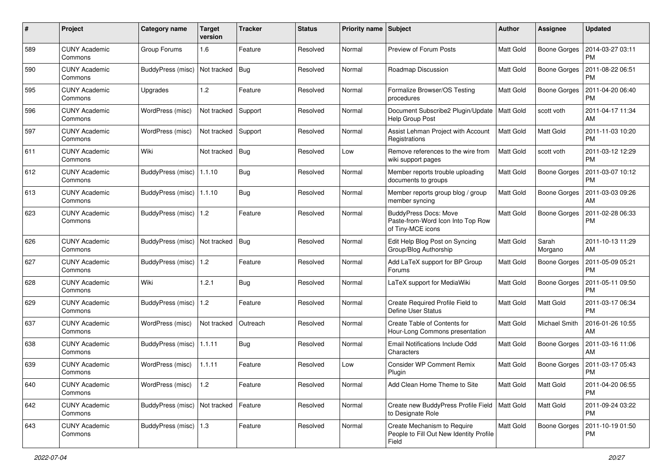| #   | Project                         | Category name           | <b>Target</b><br>version | <b>Tracker</b> | <b>Status</b> | <b>Priority name</b> | <b>Subject</b>                                                                         | Author           | Assignee            | <b>Updated</b>                |
|-----|---------------------------------|-------------------------|--------------------------|----------------|---------------|----------------------|----------------------------------------------------------------------------------------|------------------|---------------------|-------------------------------|
| 589 | <b>CUNY Academic</b><br>Commons | Group Forums            | 1.6                      | Feature        | Resolved      | Normal               | Preview of Forum Posts                                                                 | <b>Matt Gold</b> | <b>Boone Gorges</b> | 2014-03-27 03:11<br><b>PM</b> |
| 590 | <b>CUNY Academic</b><br>Commons | BuddyPress (misc)       | Not tracked              | Bug            | Resolved      | Normal               | Roadmap Discussion                                                                     | Matt Gold        | <b>Boone Gorges</b> | 2011-08-22 06:51<br><b>PM</b> |
| 595 | <b>CUNY Academic</b><br>Commons | Upgrades                | 1.2                      | Feature        | Resolved      | Normal               | Formalize Browser/OS Testing<br>procedures                                             | Matt Gold        | <b>Boone Gorges</b> | 2011-04-20 06:40<br><b>PM</b> |
| 596 | <b>CUNY Academic</b><br>Commons | WordPress (misc)        | Not tracked              | Support        | Resolved      | Normal               | Document Subscribe2 Plugin/Update<br>Help Group Post                                   | <b>Matt Gold</b> | scott voth          | 2011-04-17 11:34<br>AM        |
| 597 | <b>CUNY Academic</b><br>Commons | WordPress (misc)        | Not tracked              | Support        | Resolved      | Normal               | Assist Lehman Project with Account<br>Registrations                                    | Matt Gold        | <b>Matt Gold</b>    | 2011-11-03 10:20<br><b>PM</b> |
| 611 | <b>CUNY Academic</b><br>Commons | Wiki                    | Not tracked              | <b>Bug</b>     | Resolved      | Low                  | Remove references to the wire from<br>wiki support pages                               | <b>Matt Gold</b> | scott voth          | 2011-03-12 12:29<br><b>PM</b> |
| 612 | <b>CUNY Academic</b><br>Commons | BuddyPress (misc)       | 1.1.10                   | <b>Bug</b>     | Resolved      | Normal               | Member reports trouble uploading<br>documents to groups                                | <b>Matt Gold</b> | <b>Boone Gorges</b> | 2011-03-07 10:12<br><b>PM</b> |
| 613 | <b>CUNY Academic</b><br>Commons | BuddyPress (misc)       | 1.1.10                   | <b>Bug</b>     | Resolved      | Normal               | Member reports group blog / group<br>member syncing                                    | Matt Gold        | <b>Boone Gorges</b> | 2011-03-03 09:26<br>AM        |
| 623 | <b>CUNY Academic</b><br>Commons | BuddyPress (misc)       | $\vert$ 1.2              | Feature        | Resolved      | Normal               | <b>BuddyPress Docs: Move</b><br>Paste-from-Word Icon Into Top Row<br>of Tiny-MCE icons | <b>Matt Gold</b> | <b>Boone Gorges</b> | 2011-02-28 06:33<br><b>PM</b> |
| 626 | <b>CUNY Academic</b><br>Commons | BuddyPress (misc)       | Not tracked              | Bug            | Resolved      | Normal               | Edit Help Blog Post on Syncing<br>Group/Blog Authorship                                | <b>Matt Gold</b> | Sarah<br>Morgano    | 2011-10-13 11:29<br>AM        |
| 627 | <b>CUNY Academic</b><br>Commons | BuddyPress (misc)       | 1.2                      | Feature        | Resolved      | Normal               | Add LaTeX support for BP Group<br>Forums                                               | Matt Gold        | <b>Boone Gorges</b> | 2011-05-09 05:21<br><b>PM</b> |
| 628 | <b>CUNY Academic</b><br>Commons | Wiki                    | 1.2.1                    | <b>Bug</b>     | Resolved      | Normal               | LaTeX support for MediaWiki                                                            | <b>Matt Gold</b> | <b>Boone Gorges</b> | 2011-05-11 09:50<br><b>PM</b> |
| 629 | <b>CUNY Academic</b><br>Commons | BuddyPress (misc)       | $\vert$ 1.2              | Feature        | Resolved      | Normal               | Create Required Profile Field to<br>Define User Status                                 | <b>Matt Gold</b> | <b>Matt Gold</b>    | 2011-03-17 06:34<br><b>PM</b> |
| 637 | <b>CUNY Academic</b><br>Commons | WordPress (misc)        | Not tracked              | Outreach       | Resolved      | Normal               | Create Table of Contents for<br>Hour-Long Commons presentation                         | <b>Matt Gold</b> | Michael Smith       | 2016-01-26 10:55<br>AM        |
| 638 | <b>CUNY Academic</b><br>Commons | BuddyPress (misc)       | 1.1.11                   | <b>Bug</b>     | Resolved      | Normal               | Email Notifications Include Odd<br>Characters                                          | <b>Matt Gold</b> | Boone Gorges        | 2011-03-16 11:06<br>AM        |
| 639 | <b>CUNY Academic</b><br>Commons | WordPress (misc)        | 1.1.11                   | Feature        | Resolved      | Low                  | <b>Consider WP Comment Remix</b><br>Plugin                                             | Matt Gold        | <b>Boone Gorges</b> | 2011-03-17 05:43<br><b>PM</b> |
| 640 | <b>CUNY Academic</b><br>Commons | WordPress (misc)        | $\vert$ 1.2              | Feature        | Resolved      | Normal               | Add Clean Home Theme to Site                                                           | <b>Matt Gold</b> | Matt Gold           | 2011-04-20 06:55<br><b>PM</b> |
| 642 | <b>CUNY Academic</b><br>Commons | BuddyPress (misc)       | Not tracked              | Feature        | Resolved      | Normal               | Create new BuddyPress Profile Field   Matt Gold<br>to Designate Role                   |                  | Matt Gold           | 2011-09-24 03:22<br><b>PM</b> |
| 643 | <b>CUNY Academic</b><br>Commons | BuddyPress (misc)   1.3 |                          | Feature        | Resolved      | Normal               | Create Mechanism to Require<br>People to Fill Out New Identity Profile<br>Field        | Matt Gold        | <b>Boone Gorges</b> | 2011-10-19 01:50<br>PM        |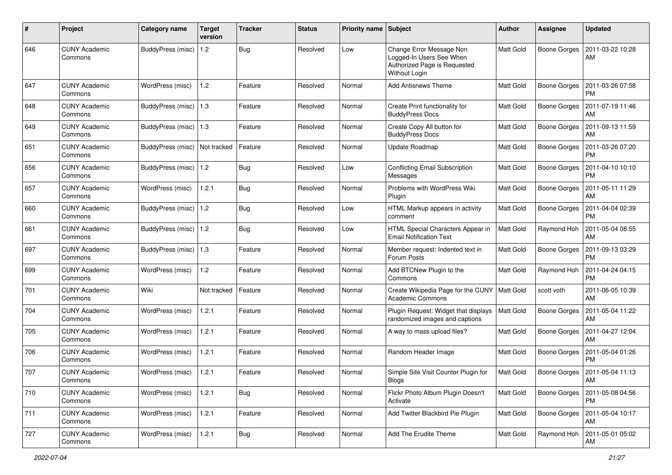| #   | Project                         | <b>Category name</b>     | <b>Target</b><br>version | <b>Tracker</b> | <b>Status</b> | <b>Priority name</b> | Subject                                                                                               | <b>Author</b>    | <b>Assignee</b>     | <b>Updated</b>                |
|-----|---------------------------------|--------------------------|--------------------------|----------------|---------------|----------------------|-------------------------------------------------------------------------------------------------------|------------------|---------------------|-------------------------------|
| 646 | <b>CUNY Academic</b><br>Commons | <b>BuddyPress</b> (misc) | 1.2                      | <b>Bug</b>     | Resolved      | Low                  | Change Error Message Non<br>Logged-In Users See When<br>Authorized Page is Requested<br>Without Login | <b>Matt Gold</b> | <b>Boone Gorges</b> | 2011-03-22 10:28<br>AM        |
| 647 | <b>CUNY Academic</b><br>Commons | WordPress (misc)         | 1.2                      | Feature        | Resolved      | Normal               | <b>Add Antisnews Theme</b>                                                                            | Matt Gold        | <b>Boone Gorges</b> | 2011-03-26 07:58<br><b>PM</b> |
| 648 | <b>CUNY Academic</b><br>Commons | BuddyPress (misc)        | $\vert$ 1.3              | Feature        | Resolved      | Normal               | Create Print functionality for<br><b>BuddyPress Docs</b>                                              | Matt Gold        | <b>Boone Gorges</b> | 2011-07-19 11:46<br>AM        |
| 649 | <b>CUNY Academic</b><br>Commons | BuddyPress (misc)   1.3  |                          | Feature        | Resolved      | Normal               | Create Copy All button for<br><b>BuddyPress Docs</b>                                                  | <b>Matt Gold</b> | <b>Boone Gorges</b> | 2011-09-13 11:59<br>AM        |
| 651 | <b>CUNY Academic</b><br>Commons | <b>BuddyPress (misc)</b> | Not tracked              | Feature        | Resolved      | Normal               | Update Roadmap                                                                                        | <b>Matt Gold</b> | <b>Boone Gorges</b> | 2011-03-26 07:20<br><b>PM</b> |
| 656 | <b>CUNY Academic</b><br>Commons | BuddyPress (misc)   1.2  |                          | Bug            | Resolved      | Low                  | <b>Conflicting Email Subscription</b><br>Messages                                                     | <b>Matt Gold</b> | <b>Boone Gorges</b> | 2011-04-10 10:10<br><b>PM</b> |
| 657 | <b>CUNY Academic</b><br>Commons | WordPress (misc)         | 1.2.1                    | <b>Bug</b>     | Resolved      | Normal               | Problems with WordPress Wiki<br>Plugin                                                                | <b>Matt Gold</b> | <b>Boone Gorges</b> | 2011-05-11 11:29<br>AM        |
| 660 | <b>CUNY Academic</b><br>Commons | BuddyPress (misc)   1.2  |                          | Bug            | Resolved      | Low                  | HTML Markup appears in activity<br>comment                                                            | Matt Gold        | Boone Gorges        | 2011-04-04 02:39<br><b>PM</b> |
| 661 | <b>CUNY Academic</b><br>Commons | BuddyPress (misc)        | 1.2                      | <b>Bug</b>     | Resolved      | Low                  | HTML Special Characters Appear in<br><b>Email Notification Text</b>                                   | <b>Matt Gold</b> | Raymond Hoh         | 2011-05-04 08:55<br>AM        |
| 697 | <b>CUNY Academic</b><br>Commons | BuddyPress (misc)        | $\vert$ 1.3              | Feature        | Resolved      | Normal               | Member request: Indented text in<br>Forum Posts                                                       | Matt Gold        | <b>Boone Gorges</b> | 2011-09-13 03:29<br><b>PM</b> |
| 699 | <b>CUNY Academic</b><br>Commons | WordPress (misc)         | 1.2                      | Feature        | Resolved      | Normal               | Add BTCNew Plugin to the<br>Commons                                                                   | <b>Matt Gold</b> | Raymond Hoh         | 2011-04-24 04:15<br><b>PM</b> |
| 701 | <b>CUNY Academic</b><br>Commons | Wiki                     | Not tracked              | Feature        | Resolved      | Normal               | Create Wikipedia Page for the CUNY<br><b>Academic Commons</b>                                         | Matt Gold        | scott voth          | 2011-06-05 10:39<br>AM        |
| 704 | <b>CUNY Academic</b><br>Commons | WordPress (misc)         | 1.2.1                    | Feature        | Resolved      | Normal               | Plugin Request: Widget that displays<br>randomized images and captions                                | <b>Matt Gold</b> | <b>Boone Gorges</b> | 2011-05-04 11:22<br>AM        |
| 705 | <b>CUNY Academic</b><br>Commons | WordPress (misc)         | 1.2.1                    | Feature        | Resolved      | Normal               | A way to mass upload files?                                                                           | <b>Matt Gold</b> | <b>Boone Gorges</b> | 2011-04-27 12:04<br>AM        |
| 706 | <b>CUNY Academic</b><br>Commons | WordPress (misc)         | 1.2.1                    | Feature        | Resolved      | Normal               | Random Header Image                                                                                   | <b>Matt Gold</b> | <b>Boone Gorges</b> | 2011-05-04 01:26<br><b>PM</b> |
| 707 | <b>CUNY Academic</b><br>Commons | WordPress (misc)         | 1.2.1                    | Feature        | Resolved      | Normal               | Simple Site Visit Counter Plugin for<br><b>BIOGS</b>                                                  | Matt Gold        | Boone Gorges        | 2011-05-04 11:13<br>AM        |
| 710 | <b>CUNY Academic</b><br>Commons | WordPress (misc)         | 1.2.1                    | <b>Bug</b>     | Resolved      | Normal               | Flickr Photo Album Plugin Doesn't<br>Activate                                                         | <b>Matt Gold</b> | <b>Boone Gorges</b> | 2011-05-08 04:56<br>PM        |
| 711 | <b>CUNY Academic</b><br>Commons | WordPress (misc)         | 1.2.1                    | Feature        | Resolved      | Normal               | Add Twitter Blackbird Pie Plugin                                                                      | <b>Matt Gold</b> | <b>Boone Gorges</b> | 2011-05-04 10:17<br>AM        |
| 727 | <b>CUNY Academic</b><br>Commons | WordPress (misc)         | 1.2.1                    | <b>Bug</b>     | Resolved      | Normal               | Add The Erudite Theme                                                                                 | Matt Gold        | Raymond Hoh         | 2011-05-01 05:02<br>AM        |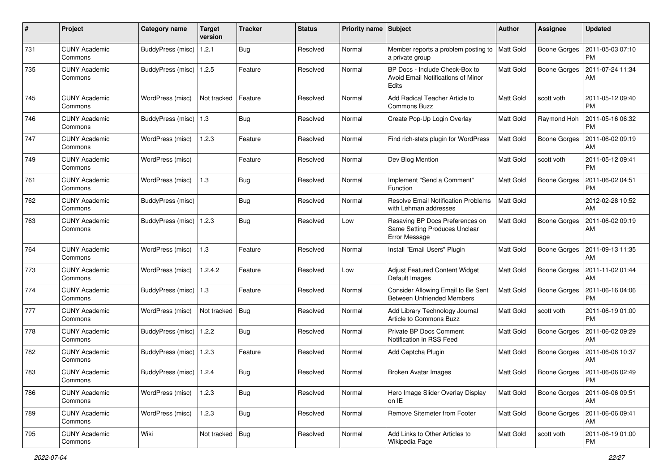| $\sharp$ | Project                         | <b>Category name</b>      | <b>Target</b><br>version | <b>Tracker</b> | <b>Status</b> | <b>Priority name</b> | <b>Subject</b>                                                                       | Author           | <b>Assignee</b>     | <b>Updated</b>                |
|----------|---------------------------------|---------------------------|--------------------------|----------------|---------------|----------------------|--------------------------------------------------------------------------------------|------------------|---------------------|-------------------------------|
| 731      | <b>CUNY Academic</b><br>Commons | <b>BuddyPress</b> (misc)  | 1.2.1                    | <b>Bug</b>     | Resolved      | Normal               | Member reports a problem posting to<br>a private group                               | <b>Matt Gold</b> | <b>Boone Gorges</b> | 2011-05-03 07:10<br><b>PM</b> |
| 735      | <b>CUNY Academic</b><br>Commons | BuddyPress (misc)   1.2.5 |                          | Feature        | Resolved      | Normal               | BP Docs - Include Check-Box to<br><b>Avoid Email Notifications of Minor</b><br>Edits | <b>Matt Gold</b> | <b>Boone Gorges</b> | 2011-07-24 11:34<br>AM        |
| 745      | <b>CUNY Academic</b><br>Commons | WordPress (misc)          | Not tracked              | Feature        | Resolved      | Normal               | Add Radical Teacher Article to<br><b>Commons Buzz</b>                                | <b>Matt Gold</b> | scott voth          | 2011-05-12 09:40<br><b>PM</b> |
| 746      | <b>CUNY Academic</b><br>Commons | BuddyPress (misc)         | 1.3                      | <b>Bug</b>     | Resolved      | Normal               | Create Pop-Up Login Overlay                                                          | Matt Gold        | Raymond Hoh         | 2011-05-16 06:32<br><b>PM</b> |
| 747      | <b>CUNY Academic</b><br>Commons | WordPress (misc)          | 1.2.3                    | Feature        | Resolved      | Normal               | Find rich-stats plugin for WordPress                                                 | Matt Gold        | <b>Boone Gorges</b> | 2011-06-02 09:19<br>AM        |
| 749      | <b>CUNY Academic</b><br>Commons | WordPress (misc)          |                          | Feature        | Resolved      | Normal               | Dev Blog Mention                                                                     | <b>Matt Gold</b> | scott voth          | 2011-05-12 09:41<br><b>PM</b> |
| 761      | <b>CUNY Academic</b><br>Commons | WordPress (misc)          | 1.3                      | <b>Bug</b>     | Resolved      | Normal               | Implement "Send a Comment"<br>Function                                               | Matt Gold        | <b>Boone Gorges</b> | 2011-06-02 04:51<br><b>PM</b> |
| 762      | <b>CUNY Academic</b><br>Commons | BuddyPress (misc)         |                          | Bug            | Resolved      | Normal               | <b>Resolve Email Notification Problems</b><br>with Lehman addresses                  | <b>Matt Gold</b> |                     | 2012-02-28 10:52<br>AM        |
| 763      | <b>CUNY Academic</b><br>Commons | BuddyPress (misc)         | 1.2.3                    | <b>Bug</b>     | Resolved      | Low                  | Resaving BP Docs Preferences on<br>Same Setting Produces Unclear<br>Error Message    | Matt Gold        | <b>Boone Gorges</b> | 2011-06-02 09:19<br>AM        |
| 764      | <b>CUNY Academic</b><br>Commons | WordPress (misc)          | 1.3                      | Feature        | Resolved      | Normal               | Install "Email Users" Plugin                                                         | <b>Matt Gold</b> | <b>Boone Gorges</b> | 2011-09-13 11:35<br>AM        |
| 773      | <b>CUNY Academic</b><br>Commons | WordPress (misc)          | 1.2.4.2                  | Feature        | Resolved      | Low                  | Adjust Featured Content Widget<br>Default Images                                     | <b>Matt Gold</b> | <b>Boone Gorges</b> | 2011-11-02 01:44<br>AM        |
| 774      | <b>CUNY Academic</b><br>Commons | BuddyPress (misc)         | 1.3                      | Feature        | Resolved      | Normal               | Consider Allowing Email to Be Sent<br><b>Between Unfriended Members</b>              | Matt Gold        | Boone Gorges        | 2011-06-16 04:06<br><b>PM</b> |
| 777      | <b>CUNY Academic</b><br>Commons | WordPress (misc)          | Not tracked              | <b>Bug</b>     | Resolved      | Normal               | Add Library Technology Journal<br>Article to Commons Buzz                            | <b>Matt Gold</b> | scott voth          | 2011-06-19 01:00<br><b>PM</b> |
| 778      | <b>CUNY Academic</b><br>Commons | BuddyPress (misc)         | 1.2.2                    | <b>Bug</b>     | Resolved      | Normal               | Private BP Docs Comment<br>Notification in RSS Feed                                  | <b>Matt Gold</b> | <b>Boone Gorges</b> | 2011-06-02 09:29<br>AM        |
| 782      | <b>CUNY Academic</b><br>Commons | BuddyPress (misc)   1.2.3 |                          | Feature        | Resolved      | Normal               | Add Captcha Plugin                                                                   | <b>Matt Gold</b> | <b>Boone Gorges</b> | 2011-06-06 10:37<br>AM        |
| 783      | <b>CUNY Academic</b><br>Commons | BuddyPress (misc)   1.2.4 |                          | Bug            | Resolved      | Normal               | <b>Broken Avatar Images</b>                                                          | <b>Matt Gold</b> | Boone Gorges        | 2011-06-06 02:49<br>PM        |
| 786      | <b>CUNY Academic</b><br>Commons | WordPress (misc)          | 1.2.3                    | <b>Bug</b>     | Resolved      | Normal               | Hero Image Slider Overlay Display<br>on IE                                           | Matt Gold        | <b>Boone Gorges</b> | 2011-06-06 09:51<br>AM        |
| 789      | <b>CUNY Academic</b><br>Commons | WordPress (misc)          | 1.2.3                    | <b>Bug</b>     | Resolved      | Normal               | Remove Sitemeter from Footer                                                         | Matt Gold        | <b>Boone Gorges</b> | 2011-06-06 09:41<br>AM        |
| 795      | <b>CUNY Academic</b><br>Commons | Wiki                      | Not tracked              | Bug            | Resolved      | Normal               | Add Links to Other Articles to<br>Wikipedia Page                                     | Matt Gold        | scott voth          | 2011-06-19 01:00<br>PM        |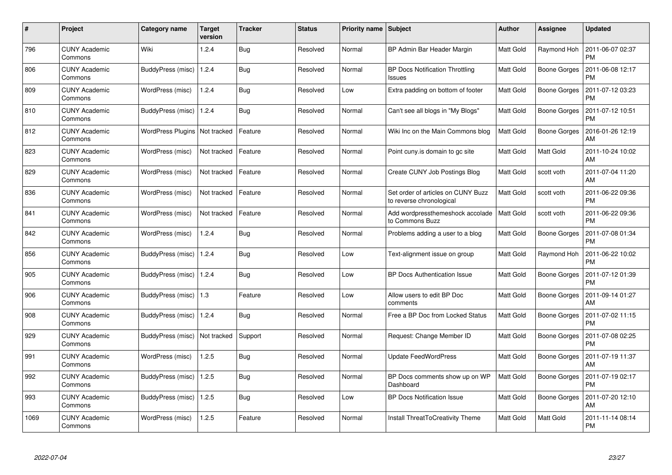| $\#$ | <b>Project</b>                  | Category name                   | <b>Target</b><br>version | <b>Tracker</b> | <b>Status</b> | <b>Priority name</b> | <b>Subject</b>                                                 | <b>Author</b>    | Assignee            | <b>Updated</b>                |
|------|---------------------------------|---------------------------------|--------------------------|----------------|---------------|----------------------|----------------------------------------------------------------|------------------|---------------------|-------------------------------|
| 796  | <b>CUNY Academic</b><br>Commons | Wiki                            | 1.2.4                    | <b>Bug</b>     | Resolved      | Normal               | BP Admin Bar Header Margin                                     | <b>Matt Gold</b> | Raymond Hoh         | 2011-06-07 02:37<br><b>PM</b> |
| 806  | <b>CUNY Academic</b><br>Commons | BuddyPress (misc)   1.2.4       |                          | Bug            | Resolved      | Normal               | <b>BP Docs Notification Throttling</b><br>Issues               | <b>Matt Gold</b> | <b>Boone Gorges</b> | 2011-06-08 12:17<br><b>PM</b> |
| 809  | <b>CUNY Academic</b><br>Commons | WordPress (misc)                | 1.2.4                    | <b>Bug</b>     | Resolved      | Low                  | Extra padding on bottom of footer                              | <b>Matt Gold</b> | <b>Boone Gorges</b> | 2011-07-12 03:23<br><b>PM</b> |
| 810  | <b>CUNY Academic</b><br>Commons | BuddyPress (misc)   1.2.4       |                          | <b>Bug</b>     | Resolved      | Normal               | Can't see all blogs in "My Blogs"                              | Matt Gold        | Boone Gorges        | 2011-07-12 10:51<br><b>PM</b> |
| 812  | <b>CUNY Academic</b><br>Commons | WordPress Plugins   Not tracked |                          | Feature        | Resolved      | Normal               | Wiki Inc on the Main Commons blog                              | Matt Gold        | <b>Boone Gorges</b> | 2016-01-26 12:19<br>AM        |
| 823  | <b>CUNY Academic</b><br>Commons | WordPress (misc)                | Not tracked              | Feature        | Resolved      | Normal               | Point cuny is domain to go site                                | <b>Matt Gold</b> | Matt Gold           | 2011-10-24 10:02<br>AM        |
| 829  | <b>CUNY Academic</b><br>Commons | WordPress (misc)                | Not tracked              | Feature        | Resolved      | Normal               | Create CUNY Job Postings Blog                                  | <b>Matt Gold</b> | scott voth          | 2011-07-04 11:20<br>AM        |
| 836  | <b>CUNY Academic</b><br>Commons | WordPress (misc)                | Not tracked              | Feature        | Resolved      | Normal               | Set order of articles on CUNY Buzz<br>to reverse chronological | <b>Matt Gold</b> | scott voth          | 2011-06-22 09:36<br><b>PM</b> |
| 841  | <b>CUNY Academic</b><br>Commons | WordPress (misc)                | Not tracked              | Feature        | Resolved      | Normal               | Add wordpressthemeshock accolade<br>to Commons Buzz            | <b>Matt Gold</b> | scott voth          | 2011-06-22 09:36<br><b>PM</b> |
| 842  | <b>CUNY Academic</b><br>Commons | WordPress (misc)                | 1.2.4                    | <b>Bug</b>     | Resolved      | Normal               | Problems adding a user to a blog                               | <b>Matt Gold</b> | Boone Gorges        | 2011-07-08 01:34<br><b>PM</b> |
| 856  | <b>CUNY Academic</b><br>Commons | BuddyPress (misc)               | 1.2.4                    | <b>Bug</b>     | Resolved      | Low                  | Text-alignment issue on group                                  | <b>Matt Gold</b> | Raymond Hoh         | 2011-06-22 10:02<br><b>PM</b> |
| 905  | <b>CUNY Academic</b><br>Commons | BuddyPress (misc)   1.2.4       |                          | <b>Bug</b>     | Resolved      | Low                  | <b>BP Docs Authentication Issue</b>                            | Matt Gold        | <b>Boone Gorges</b> | 2011-07-12 01:39<br><b>PM</b> |
| 906  | <b>CUNY Academic</b><br>Commons | BuddyPress (misc)   1.3         |                          | Feature        | Resolved      | Low                  | Allow users to edit BP Doc<br>comments                         | <b>Matt Gold</b> | Boone Gorges        | 2011-09-14 01:27<br>AM        |
| 908  | <b>CUNY Academic</b><br>Commons | BuddyPress (misc)   1.2.4       |                          | Bug            | Resolved      | Normal               | Free a BP Doc from Locked Status                               | Matt Gold        | Boone Gorges        | 2011-07-02 11:15<br><b>PM</b> |
| 929  | <b>CUNY Academic</b><br>Commons | BuddyPress (misc)               | Not tracked              | Support        | Resolved      | Normal               | Request: Change Member ID                                      | <b>Matt Gold</b> | Boone Gorges        | 2011-07-08 02:25<br><b>PM</b> |
| 991  | <b>CUNY Academic</b><br>Commons | WordPress (misc)                | 1.2.5                    | Bug            | Resolved      | Normal               | <b>Update FeedWordPress</b>                                    | <b>Matt Gold</b> | <b>Boone Gorges</b> | 2011-07-19 11:37<br>AM        |
| 992  | <b>CUNY Academic</b><br>Commons | BuddyPress (misc)   1.2.5       |                          | Bug            | Resolved      | Normal               | BP Docs comments show up on WP<br>Dashboard                    | Matt Gold        | Boone Gorges        | 2011-07-19 02:17<br><b>PM</b> |
| 993  | <b>CUNY Academic</b><br>Commons | <b>BuddyPress (misc)</b>        | 1.2.5                    | <b>Bug</b>     | Resolved      | Low                  | <b>BP Docs Notification Issue</b>                              | Matt Gold        | <b>Boone Gorges</b> | 2011-07-20 12:10<br>AM        |
| 1069 | <b>CUNY Academic</b><br>Commons | WordPress (misc)                | 1.2.5                    | Feature        | Resolved      | Normal               | Install ThreatToCreativity Theme                               | <b>Matt Gold</b> | Matt Gold           | 2011-11-14 08:14<br>PM        |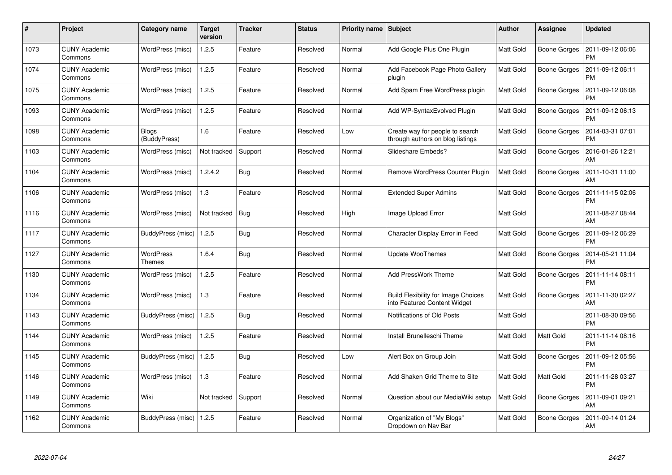| $\#$ | Project                         | Category name              | Target<br>version | <b>Tracker</b> | <b>Status</b> | <b>Priority name</b> | <b>Subject</b>                                                             | <b>Author</b>    | <b>Assignee</b>     | <b>Updated</b>                |
|------|---------------------------------|----------------------------|-------------------|----------------|---------------|----------------------|----------------------------------------------------------------------------|------------------|---------------------|-------------------------------|
| 1073 | <b>CUNY Academic</b><br>Commons | WordPress (misc)           | 1.2.5             | Feature        | Resolved      | Normal               | Add Google Plus One Plugin                                                 | <b>Matt Gold</b> | <b>Boone Gorges</b> | 2011-09-12 06:06<br><b>PM</b> |
| 1074 | <b>CUNY Academic</b><br>Commons | WordPress (misc)           | 1.2.5             | Feature        | Resolved      | Normal               | Add Facebook Page Photo Gallery<br>plugin                                  | <b>Matt Gold</b> | Boone Gorges        | 2011-09-12 06:11<br><b>PM</b> |
| 1075 | <b>CUNY Academic</b><br>Commons | WordPress (misc)           | 1.2.5             | Feature        | Resolved      | Normal               | Add Spam Free WordPress plugin                                             | Matt Gold        | <b>Boone Gorges</b> | 2011-09-12 06:08<br><b>PM</b> |
| 1093 | <b>CUNY Academic</b><br>Commons | WordPress (misc)           | 1.2.5             | Feature        | Resolved      | Normal               | Add WP-SyntaxEvolved Plugin                                                | <b>Matt Gold</b> | Boone Gorges        | 2011-09-12 06:13<br><b>PM</b> |
| 1098 | <b>CUNY Academic</b><br>Commons | Blogs<br>(BuddyPress)      | 1.6               | Feature        | Resolved      | Low                  | Create way for people to search<br>through authors on blog listings        | <b>Matt Gold</b> | Boone Gorges        | 2014-03-31 07:01<br><b>PM</b> |
| 1103 | <b>CUNY Academic</b><br>Commons | WordPress (misc)           | Not tracked       | Support        | Resolved      | Normal               | Slideshare Embeds?                                                         | Matt Gold        | Boone Gorges        | 2016-01-26 12:21<br>AM        |
| 1104 | <b>CUNY Academic</b><br>Commons | WordPress (misc)           | 1.2.4.2           | <b>Bug</b>     | Resolved      | Normal               | Remove WordPress Counter Plugin                                            | Matt Gold        | Boone Gorges        | 2011-10-31 11:00<br>AM        |
| 1106 | <b>CUNY Academic</b><br>Commons | WordPress (misc)           | 1.3               | Feature        | Resolved      | Normal               | <b>Extended Super Admins</b>                                               | Matt Gold        | Boone Gorges        | 2011-11-15 02:06<br><b>PM</b> |
| 1116 | <b>CUNY Academic</b><br>Commons | WordPress (misc)           | Not tracked       | <b>Bug</b>     | Resolved      | High                 | Image Upload Error                                                         | Matt Gold        |                     | 2011-08-27 08:44<br>AM        |
| 1117 | <b>CUNY Academic</b><br>Commons | BuddyPress (misc)   1.2.5  |                   | <b>Bug</b>     | Resolved      | Normal               | Character Display Error in Feed                                            | <b>Matt Gold</b> | <b>Boone Gorges</b> | 2011-09-12 06:29<br>PM        |
| 1127 | <b>CUNY Academic</b><br>Commons | <b>WordPress</b><br>Themes | 1.6.4             | Bug            | Resolved      | Normal               | Update WooThemes                                                           | <b>Matt Gold</b> | <b>Boone Gorges</b> | 2014-05-21 11:04<br><b>PM</b> |
| 1130 | <b>CUNY Academic</b><br>Commons | WordPress (misc)           | 1.2.5             | Feature        | Resolved      | Normal               | <b>Add PressWork Theme</b>                                                 | Matt Gold        | Boone Gorges        | 2011-11-14 08:11<br><b>PM</b> |
| 1134 | <b>CUNY Academic</b><br>Commons | WordPress (misc)           | 1.3               | Feature        | Resolved      | Normal               | <b>Build Flexibility for Image Choices</b><br>into Featured Content Widget | <b>Matt Gold</b> | Boone Gorges        | 2011-11-30 02:27<br>AM        |
| 1143 | <b>CUNY Academic</b><br>Commons | BuddyPress (misc)   1.2.5  |                   | Bug            | Resolved      | Normal               | Notifications of Old Posts                                                 | Matt Gold        |                     | 2011-08-30 09:56<br><b>PM</b> |
| 1144 | <b>CUNY Academic</b><br>Commons | WordPress (misc)           | 1.2.5             | Feature        | Resolved      | Normal               | Install Brunelleschi Theme                                                 | <b>Matt Gold</b> | Matt Gold           | 2011-11-14 08:16<br><b>PM</b> |
| 1145 | <b>CUNY Academic</b><br>Commons | BuddyPress (misc)   1.2.5  |                   | <b>Bug</b>     | Resolved      | Low                  | Alert Box on Group Join                                                    | <b>Matt Gold</b> | <b>Boone Gorges</b> | 2011-09-12 05:56<br><b>PM</b> |
| 1146 | <b>CUNY Academic</b><br>Commons | WordPress (misc)           | 1.3               | Feature        | Resolved      | Normal               | Add Shaken Grid Theme to Site                                              | <b>Matt Gold</b> | Matt Gold           | 2011-11-28 03:27<br><b>PM</b> |
| 1149 | <b>CUNY Academic</b><br>Commons | Wiki                       | Not tracked       | Support        | Resolved      | Normal               | Question about our MediaWiki setup                                         | <b>Matt Gold</b> | <b>Boone Gorges</b> | 2011-09-01 09:21<br>AM        |
| 1162 | <b>CUNY Academic</b><br>Commons | BuddyPress (misc)   1.2.5  |                   | Feature        | Resolved      | Normal               | Organization of "My Blogs"<br>Dropdown on Nav Bar                          | <b>Matt Gold</b> | Boone Gorges        | 2011-09-14 01:24<br>AM        |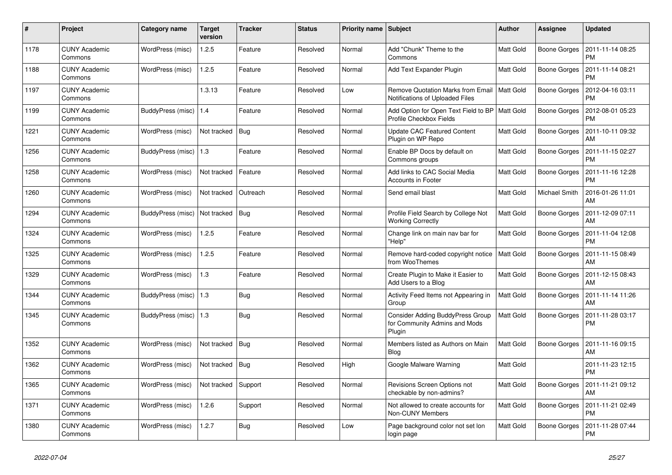| #    | Project                         | Category name     | <b>Target</b><br>version | <b>Tracker</b> | <b>Status</b> | <b>Priority name</b> | <b>Subject</b>                                                              | <b>Author</b>    | <b>Assignee</b>     | <b>Updated</b>                |
|------|---------------------------------|-------------------|--------------------------|----------------|---------------|----------------------|-----------------------------------------------------------------------------|------------------|---------------------|-------------------------------|
| 1178 | <b>CUNY Academic</b><br>Commons | WordPress (misc)  | 1.2.5                    | Feature        | Resolved      | Normal               | Add "Chunk" Theme to the<br>Commons                                         | <b>Matt Gold</b> | Boone Gorges        | 2011-11-14 08:25<br><b>PM</b> |
| 1188 | <b>CUNY Academic</b><br>Commons | WordPress (misc)  | 1.2.5                    | Feature        | Resolved      | Normal               | Add Text Expander Plugin                                                    | <b>Matt Gold</b> | <b>Boone Gorges</b> | 2011-11-14 08:21<br><b>PM</b> |
| 1197 | <b>CUNY Academic</b><br>Commons |                   | 1.3.13                   | Feature        | Resolved      | Low                  | <b>Remove Quotation Marks from Email</b><br>Notifications of Uploaded Files | <b>Matt Gold</b> | Boone Gorges        | 2012-04-16 03:11<br><b>PM</b> |
| 1199 | <b>CUNY Academic</b><br>Commons | BuddyPress (misc) | 1.4                      | Feature        | Resolved      | Normal               | Add Option for Open Text Field to BP<br>Profile Checkbox Fields             | <b>Matt Gold</b> | Boone Gorges        | 2012-08-01 05:23<br><b>PM</b> |
| 1221 | <b>CUNY Academic</b><br>Commons | WordPress (misc)  | Not tracked              | <b>Bug</b>     | Resolved      | Normal               | <b>Update CAC Featured Content</b><br>Plugin on WP Repo                     | Matt Gold        | Boone Gorges        | 2011-10-11 09:32<br>AM        |
| 1256 | <b>CUNY Academic</b><br>Commons | BuddyPress (misc) | $\vert$ 1.3              | Feature        | Resolved      | Normal               | Enable BP Docs by default on<br>Commons groups                              | <b>Matt Gold</b> | Boone Gorges        | 2011-11-15 02:27<br><b>PM</b> |
| 1258 | <b>CUNY Academic</b><br>Commons | WordPress (misc)  | Not tracked              | Feature        | Resolved      | Normal               | Add links to CAC Social Media<br><b>Accounts in Footer</b>                  | Matt Gold        | Boone Gorges        | 2011-11-16 12:28<br><b>PM</b> |
| 1260 | <b>CUNY Academic</b><br>Commons | WordPress (misc)  | Not tracked              | Outreach       | Resolved      | Normal               | Send email blast                                                            | Matt Gold        | Michael Smith       | 2016-01-26 11:01<br>AM        |
| 1294 | <b>CUNY Academic</b><br>Commons | BuddyPress (misc) | Not tracked              | <b>Bug</b>     | Resolved      | Normal               | Profile Field Search by College Not<br><b>Working Correctly</b>             | <b>Matt Gold</b> | <b>Boone Gorges</b> | 2011-12-09 07:11<br>AM        |
| 1324 | <b>CUNY Academic</b><br>Commons | WordPress (misc)  | 1.2.5                    | Feature        | Resolved      | Normal               | Change link on main nav bar for<br>"Help"                                   | Matt Gold        | Boone Gorges        | 2011-11-04 12:08<br><b>PM</b> |
| 1325 | <b>CUNY Academic</b><br>Commons | WordPress (misc)  | 1.2.5                    | Feature        | Resolved      | Normal               | Remove hard-coded copyright notice<br>from WooThemes                        | <b>Matt Gold</b> | Boone Gorges        | 2011-11-15 08:49<br>AM        |
| 1329 | <b>CUNY Academic</b><br>Commons | WordPress (misc)  | 1.3                      | Feature        | Resolved      | Normal               | Create Plugin to Make it Easier to<br>Add Users to a Blog                   | Matt Gold        | Boone Gorges        | 2011-12-15 08:43<br>AM        |
| 1344 | <b>CUNY Academic</b><br>Commons | BuddyPress (misc) | 1.3                      | <b>Bug</b>     | Resolved      | Normal               | Activity Feed Items not Appearing in<br>Group                               | Matt Gold        | Boone Gorges        | 2011-11-14 11:26<br>AM        |
| 1345 | <b>CUNY Academic</b><br>Commons | BuddyPress (misc) | $\vert$ 1.3              | Bug            | Resolved      | Normal               | Consider Adding BuddyPress Group<br>for Community Admins and Mods<br>Plugin | <b>Matt Gold</b> | Boone Gorges        | 2011-11-28 03:17<br><b>PM</b> |
| 1352 | <b>CUNY Academic</b><br>Commons | WordPress (misc)  | Not tracked              | <b>Bug</b>     | Resolved      | Normal               | Members listed as Authors on Main<br>Blog                                   | <b>Matt Gold</b> | Boone Gorges        | 2011-11-16 09:15<br>AM        |
| 1362 | <b>CUNY Academic</b><br>Commons | WordPress (misc)  | Not tracked              | Bug            | Resolved      | High                 | Google Malware Warning                                                      | Matt Gold        |                     | 2011-11-23 12:15<br><b>PM</b> |
| 1365 | <b>CUNY Academic</b><br>Commons | WordPress (misc)  | Not tracked              | Support        | Resolved      | Normal               | Revisions Screen Options not<br>checkable by non-admins?                    | Matt Gold        | Boone Gorges        | 2011-11-21 09:12<br>AM        |
| 1371 | <b>CUNY Academic</b><br>Commons | WordPress (misc)  | 1.2.6                    | Support        | Resolved      | Normal               | Not allowed to create accounts for<br><b>Non-CUNY Members</b>               | <b>Matt Gold</b> | Boone Gorges        | 2011-11-21 02:49<br><b>PM</b> |
| 1380 | <b>CUNY Academic</b><br>Commons | WordPress (misc)  | 1.2.7                    | Bug            | Resolved      | Low                  | Page background color not set lon<br>login page                             | Matt Gold        | <b>Boone Gorges</b> | 2011-11-28 07:44<br><b>PM</b> |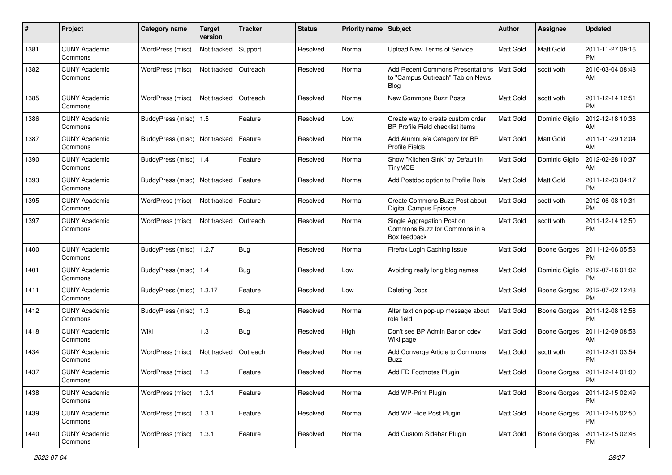| #    | Project                         | <b>Category name</b>            | <b>Target</b><br>version | <b>Tracker</b> | <b>Status</b> | <b>Priority name</b> | Subject                                                                                    | <b>Author</b>    | Assignee            | <b>Updated</b>                |
|------|---------------------------------|---------------------------------|--------------------------|----------------|---------------|----------------------|--------------------------------------------------------------------------------------------|------------------|---------------------|-------------------------------|
| 1381 | <b>CUNY Academic</b><br>Commons | WordPress (misc)                | Not tracked              | Support        | Resolved      | Normal               | <b>Upload New Terms of Service</b>                                                         | <b>Matt Gold</b> | Matt Gold           | 2011-11-27 09:16<br>PM        |
| 1382 | <b>CUNY Academic</b><br>Commons | WordPress (misc)                | Not tracked              | Outreach       | Resolved      | Normal               | <b>Add Recent Commons Presentations</b><br>to "Campus Outreach" Tab on News<br><b>Blog</b> | <b>Matt Gold</b> | scott voth          | 2016-03-04 08:48<br>AM        |
| 1385 | <b>CUNY Academic</b><br>Commons | WordPress (misc)                | Not tracked              | Outreach       | Resolved      | Normal               | <b>New Commons Buzz Posts</b>                                                              | <b>Matt Gold</b> | scott voth          | 2011-12-14 12:51<br><b>PM</b> |
| 1386 | <b>CUNY Academic</b><br>Commons | BuddyPress (misc)               | 1.5                      | Feature        | Resolved      | Low                  | Create way to create custom order<br><b>BP Profile Field checklist items</b>               | <b>Matt Gold</b> | Dominic Giglio      | 2012-12-18 10:38<br>AM        |
| 1387 | <b>CUNY Academic</b><br>Commons | BuddyPress (misc)               | Not tracked              | Feature        | Resolved      | Normal               | Add Alumnus/a Category for BP<br><b>Profile Fields</b>                                     | <b>Matt Gold</b> | <b>Matt Gold</b>    | 2011-11-29 12:04<br>AM        |
| 1390 | <b>CUNY Academic</b><br>Commons | BuddyPress (misc)   1.4         |                          | Feature        | Resolved      | Normal               | Show "Kitchen Sink" by Default in<br><b>TinyMCE</b>                                        | <b>Matt Gold</b> | Dominic Giglio      | 2012-02-28 10:37<br>AM        |
| 1393 | <b>CUNY Academic</b><br>Commons | BuddyPress (misc)   Not tracked |                          | Feature        | Resolved      | Normal               | Add Postdoc option to Profile Role                                                         | <b>Matt Gold</b> | <b>Matt Gold</b>    | 2011-12-03 04:17<br><b>PM</b> |
| 1395 | <b>CUNY Academic</b><br>Commons | WordPress (misc)                | Not tracked              | Feature        | Resolved      | Normal               | Create Commons Buzz Post about<br>Digital Campus Episode                                   | <b>Matt Gold</b> | scott voth          | 2012-06-08 10:31<br><b>PM</b> |
| 1397 | <b>CUNY Academic</b><br>Commons | WordPress (misc)                | Not tracked              | Outreach       | Resolved      | Normal               | Single Aggregation Post on<br>Commons Buzz for Commons in a<br>Box feedback                | <b>Matt Gold</b> | scott voth          | 2011-12-14 12:50<br><b>PM</b> |
| 1400 | <b>CUNY Academic</b><br>Commons | BuddyPress (misc)               | 1.2.7                    | Bug            | Resolved      | Normal               | Firefox Login Caching Issue                                                                | <b>Matt Gold</b> | <b>Boone Gorges</b> | 2011-12-06 05:53<br><b>PM</b> |
| 1401 | <b>CUNY Academic</b><br>Commons | BuddyPress (misc)   1.4         |                          | Bug            | Resolved      | Low                  | Avoiding really long blog names                                                            | <b>Matt Gold</b> | Dominic Giglio      | 2012-07-16 01:02<br><b>PM</b> |
| 1411 | <b>CUNY Academic</b><br>Commons | BuddyPress (misc)               | 1.3.17                   | Feature        | Resolved      | Low                  | <b>Deleting Docs</b>                                                                       | Matt Gold        | <b>Boone Gorges</b> | 2012-07-02 12:43<br><b>PM</b> |
| 1412 | <b>CUNY Academic</b><br>Commons | BuddyPress (misc)   1.3         |                          | Bug            | Resolved      | Normal               | Alter text on pop-up message about<br>role field                                           | <b>Matt Gold</b> | <b>Boone Gorges</b> | 2011-12-08 12:58<br><b>PM</b> |
| 1418 | <b>CUNY Academic</b><br>Commons | Wiki                            | 1.3                      | Bug            | Resolved      | High                 | Don't see BP Admin Bar on cdev<br>Wiki page                                                | Matt Gold        | <b>Boone Gorges</b> | 2011-12-09 08:58<br>AM        |
| 1434 | <b>CUNY Academic</b><br>Commons | WordPress (misc)                | Not tracked              | Outreach       | Resolved      | Normal               | Add Converge Article to Commons<br>Buzz                                                    | <b>Matt Gold</b> | scott voth          | 2011-12-31 03:54<br><b>PM</b> |
| 1437 | <b>CUNY Academic</b><br>Commons | WordPress (misc)                | 1.3                      | Feature        | Resolved      | Normal               | Add FD Footnotes Plugin                                                                    | Matt Gold        | Boone Gorges        | 2011-12-14 01:00<br>PM        |
| 1438 | <b>CUNY Academic</b><br>Commons | WordPress (misc)                | 1.3.1                    | Feature        | Resolved      | Normal               | Add WP-Print Plugin                                                                        | Matt Gold        | Boone Gorges        | 2011-12-15 02:49<br>PM        |
| 1439 | <b>CUNY Academic</b><br>Commons | WordPress (misc)                | 1.3.1                    | Feature        | Resolved      | Normal               | Add WP Hide Post Plugin                                                                    | Matt Gold        | <b>Boone Gorges</b> | 2011-12-15 02:50<br>PM        |
| 1440 | <b>CUNY Academic</b><br>Commons | WordPress (misc)                | 1.3.1                    | Feature        | Resolved      | Normal               | Add Custom Sidebar Plugin                                                                  | Matt Gold        | <b>Boone Gorges</b> | 2011-12-15 02:46<br><b>PM</b> |